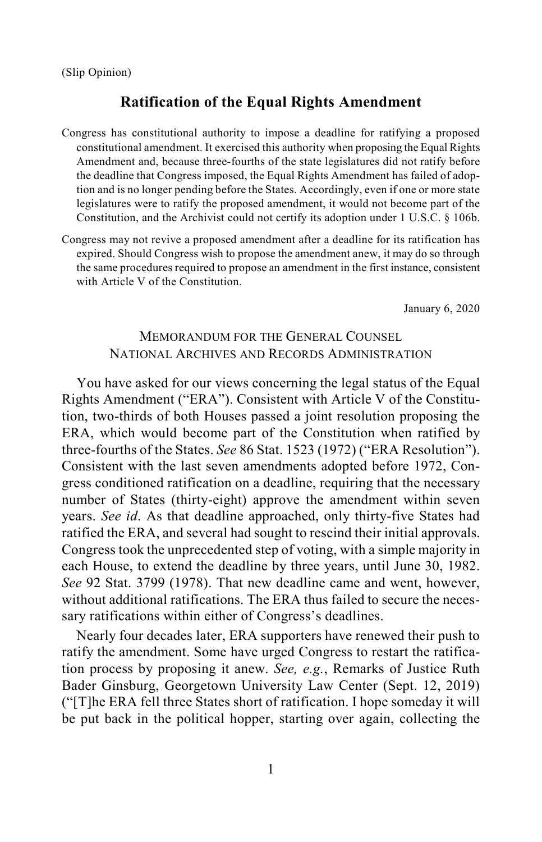# **Ratification of the Equal Rights Amendment**

- Congress has constitutional authority to impose a deadline for ratifying a proposed constitutional amendment. It exercised this authority when proposing the Equal Rights Amendment and, because three-fourths of the state legislatures did not ratify before the deadline that Congress imposed, the Equal Rights Amendment has failed of adoption and is no longer pending before the States. Accordingly, even if one or more state legislatures were to ratify the proposed amendment, it would not become part of the Constitution, and the Archivist could not certify its adoption under 1 U.S.C. § 106b.
- Congress may not revive a proposed amendment after a deadline for its ratification has expired. Should Congress wish to propose the amendment anew, it may do so through the same procedures required to propose an amendment in the first instance, consistent with Article V of the Constitution.

January 6, 2020

# MEMORANDUM FOR THE GENERAL COUNSEL NATIONAL ARCHIVES AND RECORDS ADMINISTRATION

You have asked for our views concerning the legal status of the Equal Rights Amendment ("ERA"). Consistent with Article V of the Constitution, two-thirds of both Houses passed a joint resolution proposing the ERA, which would become part of the Constitution when ratified by three-fourths of the States. *See* 86 Stat. 1523 (1972) ("ERA Resolution"). Consistent with the last seven amendments adopted before 1972, Congress conditioned ratification on a deadline, requiring that the necessary number of States (thirty-eight) approve the amendment within seven years. *See id*. As that deadline approached, only thirty-five States had ratified the ERA, and several had sought to rescind their initial approvals. Congress took the unprecedented step of voting, with a simple majority in each House, to extend the deadline by three years, until June 30, 1982. *See* 92 Stat. 3799 (1978). That new deadline came and went, however, without additional ratifications. The ERA thus failed to secure the necessary ratifications within either of Congress's deadlines.

Nearly four decades later, ERA supporters have renewed their push to ratify the amendment. Some have urged Congress to restart the ratification process by proposing it anew. *See, e.g.*, Remarks of Justice Ruth Bader Ginsburg, Georgetown University Law Center (Sept. 12, 2019) ("[T]he ERA fell three States short of ratification. I hope someday it will be put back in the political hopper, starting over again, collecting the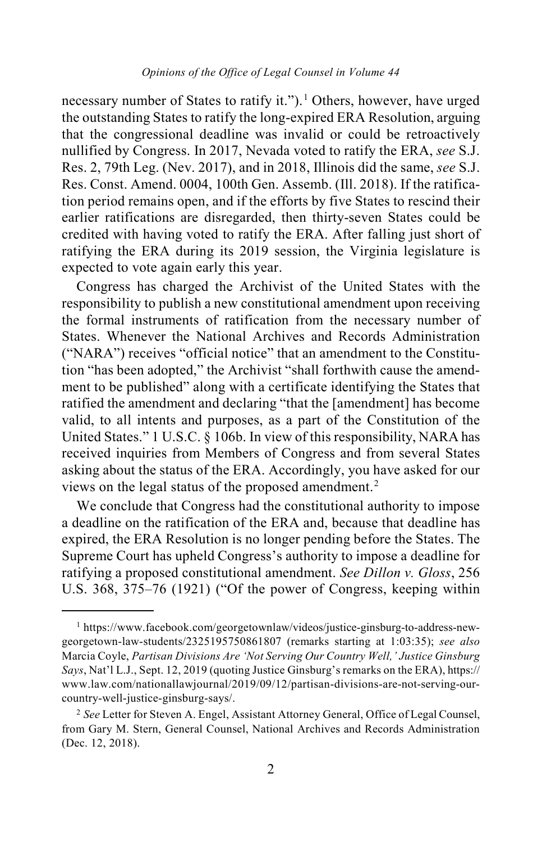### <span id="page-1-2"></span>*Opinions of the Office of Legal Counsel in Volume 44*

necessary number of States to ratify it.").<sup>[1](#page-1-0)</sup> Others, however, have urged the outstanding States to ratify the long-expired ERA Resolution, arguing that the congressional deadline was invalid or could be retroactively nullified by Congress. In 2017, Nevada voted to ratify the ERA, *see* S.J. Res. 2, 79th Leg. (Nev. 2017), and in 2018, Illinois did the same, *see* S.J. Res. Const. Amend. 0004, 100th Gen. Assemb. (Ill. 2018). If the ratification period remains open, and if the efforts by five States to rescind their earlier ratifications are disregarded, then thirty-seven States could be credited with having voted to ratify the ERA. After falling just short of ratifying the ERA during its 2019 session, the Virginia legislature is expected to vote again early this year.

Congress has charged the Archivist of the United States with the responsibility to publish a new constitutional amendment upon receiving the formal instruments of ratification from the necessary number of States. Whenever the National Archives and Records Administration ("NARA") receives "official notice" that an amendment to the Constitution "has been adopted," the Archivist "shall forthwith cause the amendment to be published" along with a certificate identifying the States that ratified the amendment and declaring "that the [amendment] has become valid, to all intents and purposes, as a part of the Constitution of the United States." 1 U.S.C. § 106b. In view of this responsibility, NARA has received inquiries from Members of Congress and from several States asking about the status of the ERA. Accordingly, you have asked for our views on the legal status of the proposed amendment.[2](#page-1-1)

We conclude that Congress had the constitutional authority to impose a deadline on the ratification of the ERA and, because that deadline has expired, the ERA Resolution is no longer pending before the States. The Supreme Court has upheld Congress's authority to impose a deadline for ratifying a proposed constitutional amendment. *See Dillon v. Gloss*, 256 U.S. 368, 375–76 (1921) ("Of the power of Congress, keeping within

<span id="page-1-0"></span> <sup>1</sup> [https://www.facebook.com/georgetownlaw/videos/justice-ginsburg-to-address-new](https://www.facebook.com/georgetownlaw/videos/justice-ginsburg-to-address-new-georgetown-law-students/2325195750861807/)[georgetown-law-students/2325195750861807](https://www.facebook.com/georgetownlaw/videos/justice-ginsburg-to-address-new-georgetown-law-students/2325195750861807/) (remarks starting at 1:03:35); *see also*  Marcia Coyle, *Partisan Divisions Are 'Not Serving Our Country Well,' Justice Ginsburg Says*, Nat'l L.J., Sept. 12, 2019 (quoting Justice Ginsburg's remarks on the ERA)[, https://](https://www.law.com/%E2%80%8Cnationallawjournal/%E2%80%8C2019/%E2%80%8C09/%E2%80%8C12/%E2%80%8Cpartisan-divisions-are-not-serving-our-country-well-justice-ginsburg-says/) [www.law.com/nationallawjournal/2019/09/12/partisan-divisions-are-not-serving-our](https://www.law.com/%E2%80%8Cnationallawjournal/%E2%80%8C2019/%E2%80%8C09/%E2%80%8C12/%E2%80%8Cpartisan-divisions-are-not-serving-our-country-well-justice-ginsburg-says/)[country-well-justice-ginsburg-says/.](https://www.law.com/%E2%80%8Cnationallawjournal/%E2%80%8C2019/%E2%80%8C09/%E2%80%8C12/%E2%80%8Cpartisan-divisions-are-not-serving-our-country-well-justice-ginsburg-says/)

<span id="page-1-1"></span><sup>2</sup> *See* Letter for Steven A. Engel, Assistant Attorney General, Office of Legal Counsel, from Gary M. Stern, General Counsel, National Archives and Records Administration (Dec. 12, 2018).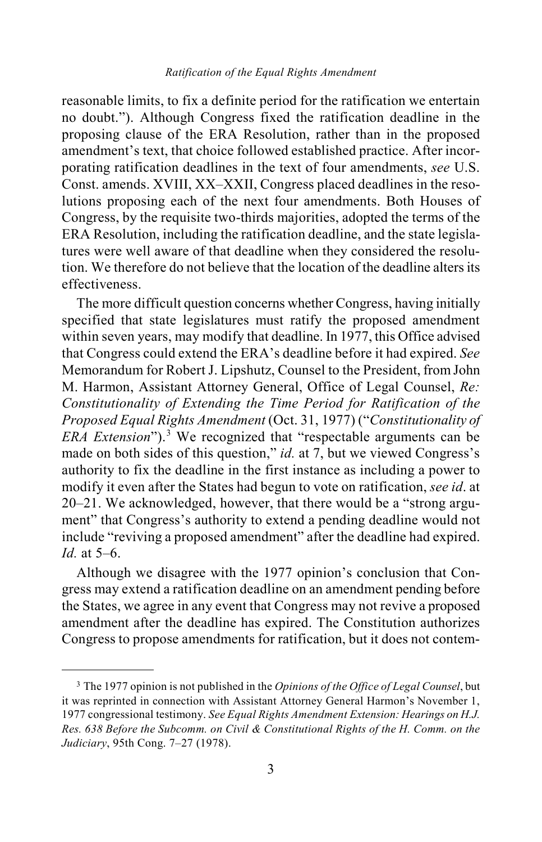reasonable limits, to fix a definite period for the ratification we entertain no doubt."). Although Congress fixed the ratification deadline in the proposing clause of the ERA Resolution, rather than in the proposed amendment's text, that choice followed established practice. After incorporating ratification deadlines in the text of four amendments, *see* U.S. Const. amends. XVIII, XX–XXII, Congress placed deadlines in the resolutions proposing each of the next four amendments. Both Houses of Congress, by the requisite two-thirds majorities, adopted the terms of the ERA Resolution, including the ratification deadline, and the state legislatures were well aware of that deadline when they considered the resolution. We therefore do not believe that the location of the deadline alters its effectiveness.

The more difficult question concerns whether Congress, having initially specified that state legislatures must ratify the proposed amendment within seven years, may modify that deadline. In 1977, this Office advised that Congress could extend the ERA's deadline before it had expired. *See*  Memorandum for Robert J. Lipshutz, Counsel to the President, from John M. Harmon, Assistant Attorney General, Office of Legal Counsel, *Re: Constitutionality of Extending the Time Period for Ratification of the Proposed Equal Rights Amendment* (Oct. 31, 1977) ("*Constitutionality of ERA Extension*").[3](#page-2-0) We recognized that "respectable arguments can be made on both sides of this question," *id.* at 7, but we viewed Congress's authority to fix the deadline in the first instance as including a power to modify it even after the States had begun to vote on ratification, *see id*. at 20–21. We acknowledged, however, that there would be a "strong argument" that Congress's authority to extend a pending deadline would not include "reviving a proposed amendment" after the deadline had expired. *Id.* at 5–6.

Although we disagree with the 1977 opinion's conclusion that Congress may extend a ratification deadline on an amendment pending before the States, we agree in any event that Congress may not revive a proposed amendment after the deadline has expired. The Constitution authorizes Congress to propose amendments for ratification, but it does not contem-

<span id="page-2-0"></span> <sup>3</sup> The 1977 opinion is not published in the *Opinions of the Office of Legal Counsel*, but it was reprinted in connection with Assistant Attorney General Harmon's November 1, 1977 congressional testimony. *See Equal Rights Amendment Extension: Hearings on H.J. Res. 638 Before the Subcomm. on Civil & Constitutional Rights of the H. Comm. on the Judiciary*, 95th Cong. 7–27 (1978).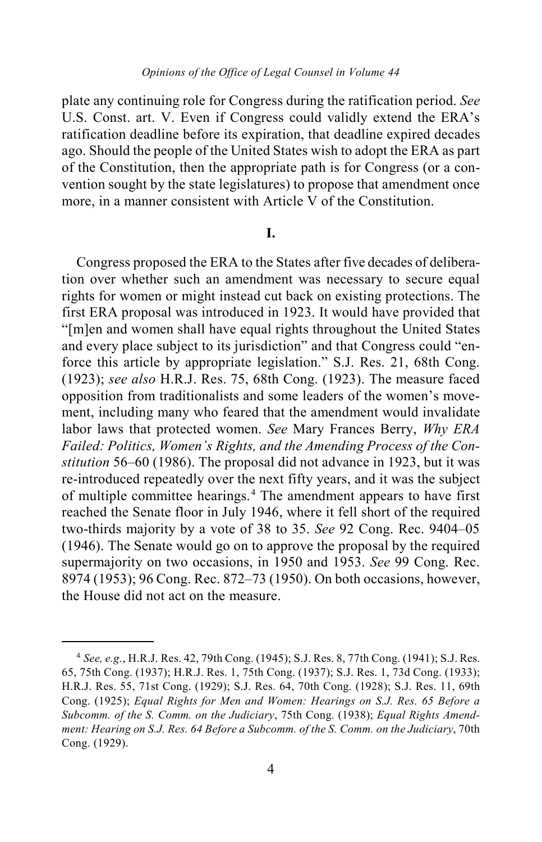plate any continuing role for Congress during the ratification period. *See*  U.S. Const. art. V. Even if Congress could validly extend the ERA's ratification deadline before its expiration, that deadline expired decades ago. Should the people of the United States wish to adopt the ERA as part of the Constitution, then the appropriate path is for Congress (or a convention sought by the state legislatures) to propose that amendment once more, in a manner consistent with Article V of the Constitution.

## **I.**

Congress proposed the ERA to the States after five decades of deliberation over whether such an amendment was necessary to secure equal rights for women or might instead cut back on existing protections. The first ERA proposal was introduced in 1923. It would have provided that "[m]en and women shall have equal rights throughout the United States and every place subject to its jurisdiction" and that Congress could "enforce this article by appropriate legislation." S.J. Res. 21, 68th Cong. (1923); *see also* H.R.J. Res. 75, 68th Cong. (1923). The measure faced opposition from traditionalists and some leaders of the women's movement, including many who feared that the amendment would invalidate labor laws that protected women. *See* Mary Frances Berry, *Why ERA Failed: Politics, Women's Rights, and the Amending Process of the Constitution* 56–60 (1986). The proposal did not advance in 1923, but it was re-introduced repeatedly over the next fifty years, and it was the subject of multiple committee hearings.[4](#page-3-0) The amendment appears to have first reached the Senate floor in July 1946, where it fell short of the required two-thirds majority by a vote of 38 to 35. *See* 92 Cong. Rec. 9404–05 (1946). The Senate would go on to approve the proposal by the required supermajority on two occasions, in 1950 and 1953. *See* 99 Cong. Rec. 8974 (1953); 96 Cong. Rec. 872–73 (1950). On both occasions, however, the House did not act on the measure.

<span id="page-3-0"></span> <sup>4</sup> *See, e.g.*, H.R.J. Res. 42, 79th Cong. (1945); S.J. Res. 8, 77th Cong. (1941); S.J. Res. 65, 75th Cong. (1937); H.R.J. Res. 1, 75th Cong. (1937); S.J. Res. 1, 73d Cong. (1933); H.R.J. Res. 55, 71st Cong. (1929); S.J. Res. 64, 70th Cong. (1928); S.J. Res. 11, 69th Cong. (1925); *Equal Rights for Men and Women: Hearings on S.J. Res. 65 Before a Subcomm. of the S. Comm. on the Judiciary*, 75th Cong. (1938); *Equal Rights Amendment: Hearing on S.J. Res. 64 Before a Subcomm. of the S. Comm. on the Judiciary*, 70th Cong. (1929).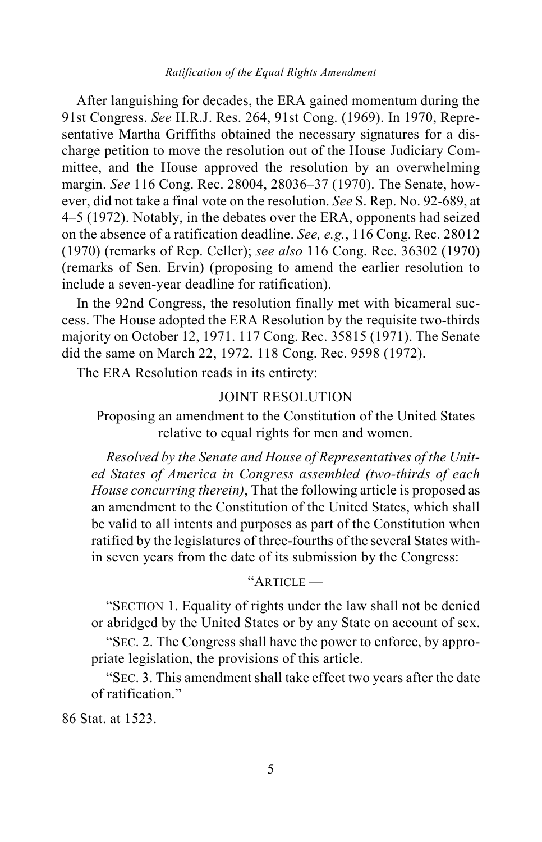#### *Ratification of the Equal Rights Amendment*

After languishing for decades, the ERA gained momentum during the 91st Congress. *See* H.R.J. Res. 264, 91st Cong. (1969). In 1970, Representative Martha Griffiths obtained the necessary signatures for a discharge petition to move the resolution out of the House Judiciary Committee, and the House approved the resolution by an overwhelming margin. *See* 116 Cong. Rec. 28004, 28036–37 (1970). The Senate, however, did not take a final vote on the resolution. *See* S. Rep. No. 92-689, at 4–5 (1972). Notably, in the debates over the ERA, opponents had seized on the absence of a ratification deadline. *See, e.g.*, 116 Cong. Rec. 28012 (1970) (remarks of Rep. Celler); *see also* 116 Cong. Rec. 36302 (1970) (remarks of Sen. Ervin) (proposing to amend the earlier resolution to include a seven-year deadline for ratification).

In the 92nd Congress, the resolution finally met with bicameral success. The House adopted the ERA Resolution by the requisite two-thirds majority on October 12, 1971. 117 Cong. Rec. 35815 (1971). The Senate did the same on March 22, 1972. 118 Cong. Rec. 9598 (1972).

The ERA Resolution reads in its entirety:

## JOINT RESOLUTION

Proposing an amendment to the Constitution of the United States relative to equal rights for men and women.

*Resolved by the Senate and House of Representatives of the United States of America in Congress assembled (two-thirds of each House concurring therein)*, That the following article is proposed as an amendment to the Constitution of the United States, which shall be valid to all intents and purposes as part of the Constitution when ratified by the legislatures of three-fourths of the several States within seven years from the date of its submission by the Congress:

# "ARTICLE —

"SECTION 1. Equality of rights under the law shall not be denied or abridged by the United States or by any State on account of sex.

"SEC. 2. The Congress shall have the power to enforce, by appropriate legislation, the provisions of this article.

"SEC. 3. This amendment shall take effect two years after the date of ratification."

86 Stat. at 1523.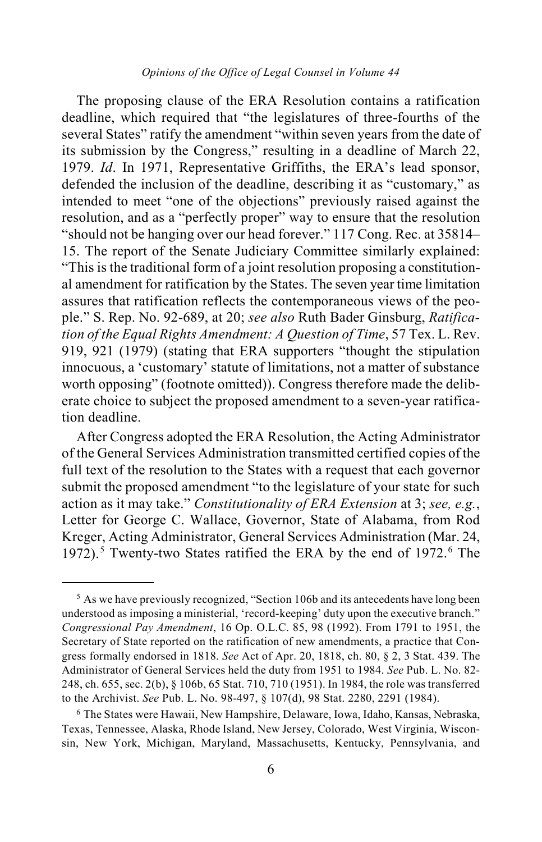The proposing clause of the ERA Resolution contains a ratification deadline, which required that "the legislatures of three-fourths of the several States" ratify the amendment "within seven years from the date of its submission by the Congress," resulting in a deadline of March 22, 1979. *Id*. In 1971, Representative Griffiths, the ERA's lead sponsor, defended the inclusion of the deadline, describing it as "customary," as intended to meet "one of the objections" previously raised against the resolution, and as a "perfectly proper" way to ensure that the resolution "should not be hanging over our head forever." 117 Cong. Rec. at 35814– 15. The report of the Senate Judiciary Committee similarly explained: "This is the traditional form of a joint resolution proposing a constitutional amendment for ratification by the States. The seven year time limitation assures that ratification reflects the contemporaneous views of the people." S. Rep. No. 92-689, at 20; *see also* Ruth Bader Ginsburg, *Ratification of the Equal Rights Amendment: A Question of Time*, 57 Tex. L. Rev. 919, 921 (1979) (stating that ERA supporters "thought the stipulation innocuous, a 'customary' statute of limitations, not a matter of substance worth opposing" (footnote omitted)). Congress therefore made the deliberate choice to subject the proposed amendment to a seven-year ratification deadline.

After Congress adopted the ERA Resolution, the Acting Administrator of the General Services Administration transmitted certified copies of the full text of the resolution to the States with a request that each governor submit the proposed amendment "to the legislature of your state for such action as it may take." *Constitutionality of ERA Extension* at 3; *see, e.g.*, Letter for George C. Wallace, Governor, State of Alabama, from Rod Kreger, Acting Administrator, General Services Administration (Mar. 24, 1972).<sup>[5](#page-5-0)</sup> Twenty-two States ratified the ERA by the end of  $1972$ .<sup>[6](#page-5-1)</sup> The

<span id="page-5-0"></span><sup>&</sup>lt;sup>5</sup> As we have previously recognized, "Section 106b and its antecedents have long been understood as imposing a ministerial, 'record-keeping' duty upon the executive branch." *Congressional Pay Amendment*, 16 Op. O.L.C. 85, 98 (1992). From 1791 to 1951, the Secretary of State reported on the ratification of new amendments, a practice that Congress formally endorsed in 1818. *See* Act of Apr. 20, 1818, ch. 80, § 2, 3 Stat. 439. The Administrator of General Services held the duty from 1951 to 1984. *See* Pub. L. No. 82- 248, ch. 655, sec. 2(b), § 106b, 65 Stat. 710, 710 (1951). In 1984, the role was transferred to the Archivist. *See* Pub. L. No. 98-497, § 107(d), 98 Stat. 2280, 2291 (1984).

<span id="page-5-1"></span><sup>6</sup> The States were Hawaii, New Hampshire, Delaware, Iowa, Idaho, Kansas, Nebraska, Texas, Tennessee, Alaska, Rhode Island, New Jersey, Colorado, West Virginia, Wisconsin, New York, Michigan, Maryland, Massachusetts, Kentucky, Pennsylvania, and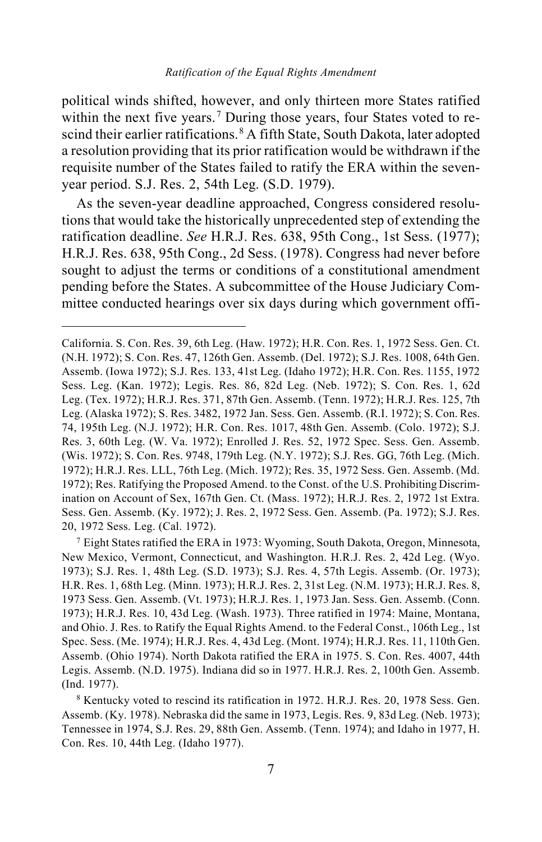<span id="page-6-2"></span>political winds shifted, however, and only thirteen more States ratified within the next five years. [7](#page-6-0) During those years, four States voted to re-scind their earlier ratifications.<sup>[8](#page-6-1)</sup> A fifth State, South Dakota, later adopted a resolution providing that its prior ratification would be withdrawn if the requisite number of the States failed to ratify the ERA within the sevenyear period. S.J. Res. 2, 54th Leg. (S.D. 1979).

As the seven-year deadline approached, Congress considered resolutions that would take the historically unprecedented step of extending the ratification deadline. *See* H.R.J. Res. 638, 95th Cong., 1st Sess. (1977); H.R.J. Res. 638, 95th Cong., 2d Sess. (1978). Congress had never before sought to adjust the terms or conditions of a constitutional amendment pending before the States. A subcommittee of the House Judiciary Committee conducted hearings over six days during which government offi-

 $\overline{a}$ 

California. S. Con. Res. 39, 6th Leg. (Haw. 1972); H.R. Con. Res. 1, 1972 Sess. Gen. Ct. (N.H. 1972); S. Con. Res. 47, 126th Gen. Assemb. (Del. 1972); S.J. Res. 1008, 64th Gen. Assemb. (Iowa 1972); S.J. Res. 133, 41st Leg. (Idaho 1972); H.R. Con. Res. 1155, 1972 Sess. Leg. (Kan. 1972); Legis. Res. 86, 82d Leg. (Neb. 1972); S. Con. Res. 1, 62d Leg. (Tex. 1972); H.R.J. Res. 371, 87th Gen. Assemb. (Tenn. 1972); H.R.J. Res. 125, 7th Leg. (Alaska 1972); S. Res. 3482, 1972 Jan. Sess. Gen. Assemb. (R.I. 1972); S. Con. Res. 74, 195th Leg. (N.J. 1972); H.R. Con. Res. 1017, 48th Gen. Assemb. (Colo. 1972); S.J. Res. 3, 60th Leg. (W. Va. 1972); Enrolled J. Res. 52, 1972 Spec. Sess. Gen. Assemb. (Wis. 1972); S. Con. Res. 9748, 179th Leg. (N.Y. 1972); S.J. Res. GG, 76th Leg. (Mich. 1972); H.R.J. Res. LLL, 76th Leg. (Mich. 1972); Res. 35, 1972 Sess. Gen. Assemb. (Md. 1972); Res. Ratifying the Proposed Amend. to the Const. of the U.S. Prohibiting Discrimination on Account of Sex, 167th Gen. Ct. (Mass. 1972); H.R.J. Res. 2, 1972 1st Extra. Sess. Gen. Assemb. (Ky. 1972); J. Res. 2, 1972 Sess. Gen. Assemb. (Pa. 1972); S.J. Res. 20, 1972 Sess. Leg. (Cal. 1972).

<span id="page-6-0"></span> $7$  Eight States ratified the ERA in 1973: Wyoming, South Dakota, Oregon, Minnesota, New Mexico, Vermont, Connecticut, and Washington. H.R.J. Res. 2, 42d Leg. (Wyo. 1973); S.J. Res. 1, 48th Leg. (S.D. 1973); S.J. Res. 4, 57th Legis. Assemb. (Or. 1973); H.R. Res. 1, 68th Leg. (Minn. 1973); H.R.J. Res. 2, 31st Leg. (N.M. 1973); H.R.J. Res. 8, 1973 Sess. Gen. Assemb. (Vt. 1973); H.R.J. Res. 1, 1973 Jan. Sess. Gen. Assemb. (Conn. 1973); H.R.J. Res. 10, 43d Leg. (Wash. 1973). Three ratified in 1974: Maine, Montana, and Ohio. J. Res. to Ratify the Equal Rights Amend. to the Federal Const., 106th Leg., 1st Spec. Sess. (Me. 1974); H.R.J. Res. 4, 43d Leg. (Mont. 1974); H.R.J. Res. 11, 110th Gen. Assemb. (Ohio 1974). North Dakota ratified the ERA in 1975. S. Con. Res. 4007, 44th Legis. Assemb. (N.D. 1975). Indiana did so in 1977. H.R.J. Res. 2, 100th Gen. Assemb. (Ind. 1977).

<span id="page-6-1"></span><sup>8</sup> Kentucky voted to rescind its ratification in 1972. H.R.J. Res. 20, 1978 Sess. Gen. Assemb. (Ky. 1978). Nebraska did the same in 1973, Legis. Res. 9, 83d Leg. (Neb. 1973); Tennessee in 1974, S.J. Res. 29, 88th Gen. Assemb. (Tenn. 1974); and Idaho in 1977, H. Con. Res. 10, 44th Leg. (Idaho 1977).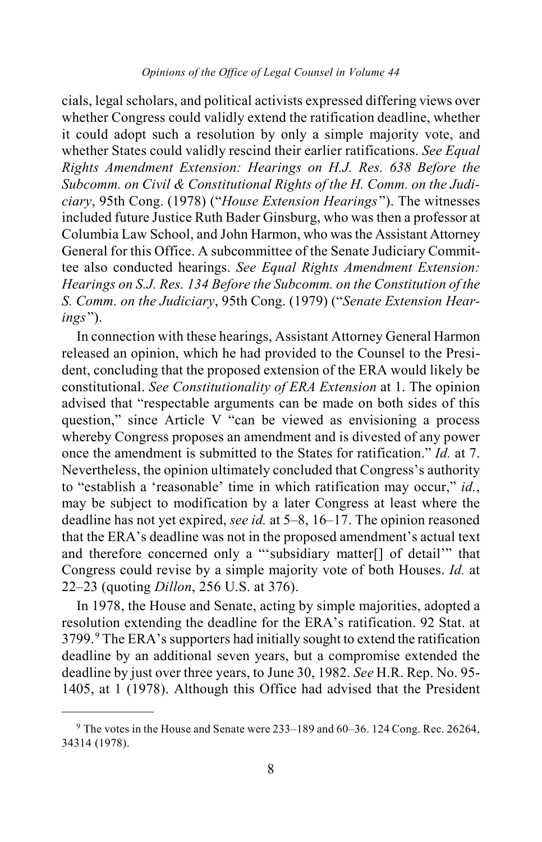### *Opinions of the Office of Legal Counsel in Volume 44*

cials, legal scholars, and political activists expressed differing views over whether Congress could validly extend the ratification deadline, whether it could adopt such a resolution by only a simple majority vote, and whether States could validly rescind their earlier ratifications. *See Equal Rights Amendment Extension: Hearings on H.J. Res. 638 Before the Subcomm. on Civil & Constitutional Rights of the H. Comm. on the Judiciary*, 95th Cong. (1978) ("*House Extension Hearings* "). The witnesses included future Justice Ruth Bader Ginsburg, who was then a professor at Columbia Law School, and John Harmon, who was the Assistant Attorney General for this Office. A subcommittee of the Senate Judiciary Committee also conducted hearings. *See Equal Rights Amendment Extension: Hearings on S.J. Res. 134 Before the Subcomm. on the Constitution of the S. Comm. on the Judiciary*, 95th Cong. (1979) ("*Senate Extension Hearings*").

In connection with these hearings, Assistant Attorney General Harmon released an opinion, which he had provided to the Counsel to the President, concluding that the proposed extension of the ERA would likely be constitutional. *See Constitutionality of ERA Extension* at 1. The opinion advised that "respectable arguments can be made on both sides of this question," since Article V "can be viewed as envisioning a process whereby Congress proposes an amendment and is divested of any power once the amendment is submitted to the States for ratification." *Id.* at 7. Nevertheless, the opinion ultimately concluded that Congress's authority to "establish a 'reasonable' time in which ratification may occur," *id.*, may be subject to modification by a later Congress at least where the deadline has not yet expired, *see id.* at 5–8, 16–17. The opinion reasoned that the ERA's deadline was not in the proposed amendment's actual text and therefore concerned only a "'subsidiary matter[] of detail'" that Congress could revise by a simple majority vote of both Houses. *Id.* at 22–23 (quoting *Dillon*, 256 U.S. at 376).

In 1978, the House and Senate, acting by simple majorities, adopted a resolution extending the deadline for the ERA's ratification. 92 Stat. at 3799.[9](#page-7-0) The ERA's supporters had initially sought to extend the ratification deadline by an additional seven years, but a compromise extended the deadline by just over three years, to June 30, 1982. *See* H.R. Rep. No. 95- 1405, at 1 (1978). Although this Office had advised that the President

<span id="page-7-0"></span> <sup>9</sup> The votes in the House and Senate were 233–189 and 60–36. 124 Cong. Rec. 26264, 34314 (1978).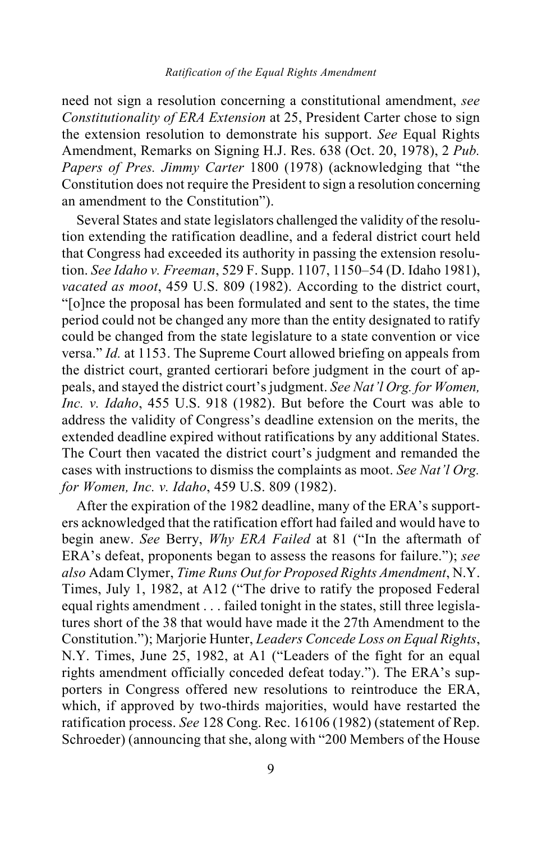need not sign a resolution concerning a constitutional amendment, *see Constitutionality of ERA Extension* at 25, President Carter chose to sign the extension resolution to demonstrate his support. *See* Equal Rights Amendment, Remarks on Signing H.J. Res. 638 (Oct. 20, 1978), 2 *Pub. Papers of Pres. Jimmy Carter* 1800 (1978) (acknowledging that "the Constitution does not require the President to sign a resolution concerning an amendment to the Constitution").

Several States and state legislators challenged the validity of the resolution extending the ratification deadline, and a federal district court held that Congress had exceeded its authority in passing the extension resolution. *See Idaho v. Freeman*, 529 F. Supp. 1107, 1150–54 (D. Idaho 1981), *vacated as moot*, 459 U.S. 809 (1982). According to the district court, "[o]nce the proposal has been formulated and sent to the states, the time period could not be changed any more than the entity designated to ratify could be changed from the state legislature to a state convention or vice versa." *Id.* at 1153. The Supreme Court allowed briefing on appeals from the district court, granted certiorari before judgment in the court of appeals, and stayed the district court's judgment. *See Nat'l Org. for Women, Inc. v. Idaho*, 455 U.S. 918 (1982). But before the Court was able to address the validity of Congress's deadline extension on the merits, the extended deadline expired without ratifications by any additional States. The Court then vacated the district court's judgment and remanded the cases with instructions to dismiss the complaints as moot. *See Nat'l Org. for Women, Inc. v. Idaho*, 459 U.S. 809 (1982).

After the expiration of the 1982 deadline, many of the ERA's supporters acknowledged that the ratification effort had failed and would have to begin anew. *See* Berry, *Why ERA Failed* at 81 ("In the aftermath of ERA's defeat, proponents began to assess the reasons for failure."); *see also* Adam Clymer, *Time Runs Out for Proposed Rights Amendment*, N.Y. Times, July 1, 1982, at A12 ("The drive to ratify the proposed Federal equal rights amendment . . . failed tonight in the states, still three legislatures short of the 38 that would have made it the 27th Amendment to the Constitution."); Marjorie Hunter, *Leaders Concede Loss on Equal Rights*, N.Y. Times, June 25, 1982, at A1 ("Leaders of the fight for an equal rights amendment officially conceded defeat today."). The ERA's supporters in Congress offered new resolutions to reintroduce the ERA, which, if approved by two-thirds majorities, would have restarted the ratification process. *See* 128 Cong. Rec. 16106 (1982) (statement of Rep. Schroeder) (announcing that she, along with "200 Members of the House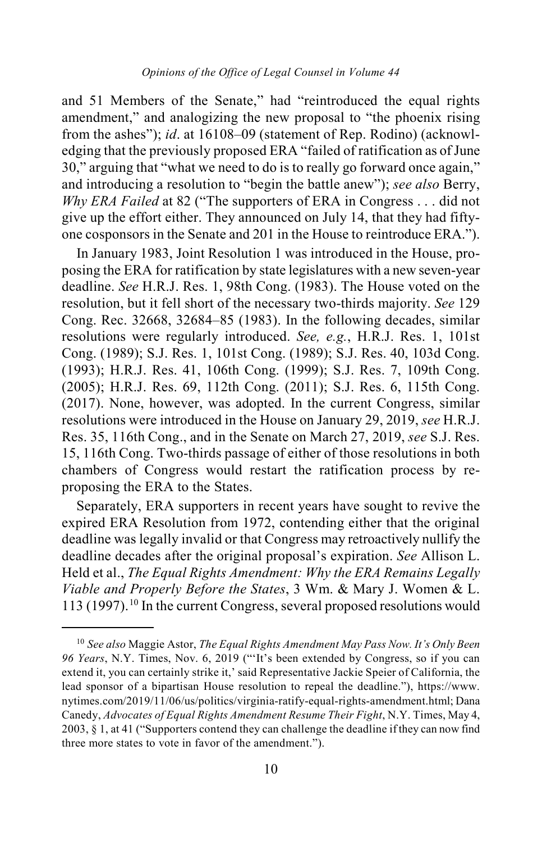and 51 Members of the Senate," had "reintroduced the equal rights amendment," and analogizing the new proposal to "the phoenix rising from the ashes"); *id*. at 16108–09 (statement of Rep. Rodino) (acknowledging that the previously proposed ERA "failed of ratification as of June 30," arguing that "what we need to do is to really go forward once again," and introducing a resolution to "begin the battle anew"); *see also* Berry, *Why ERA Failed* at 82 ("The supporters of ERA in Congress . . . did not give up the effort either. They announced on July 14, that they had fiftyone cosponsors in the Senate and 201 in the House to reintroduce ERA.").

In January 1983, Joint Resolution 1 was introduced in the House, proposing the ERA for ratification by state legislatures with a new seven-year deadline. *See* H.R.J. Res. 1, 98th Cong. (1983). The House voted on the resolution, but it fell short of the necessary two-thirds majority. *See* 129 Cong. Rec. 32668, 32684–85 (1983). In the following decades, similar resolutions were regularly introduced. *See, e.g.*, H.R.J. Res. 1, 101st Cong. (1989); S.J. Res. 1, 101st Cong. (1989); S.J. Res. 40, 103d Cong. (1993); H.R.J. Res. 41, 106th Cong. (1999); S.J. Res. 7, 109th Cong. (2005); H.R.J. Res. 69, 112th Cong. (2011); S.J. Res. 6, 115th Cong. (2017). None, however, was adopted. In the current Congress, similar resolutions were introduced in the House on January 29, 2019, *see* H.R.J. Res. 35, 116th Cong., and in the Senate on March 27, 2019, *see* S.J. Res. 15, 116th Cong. Two-thirds passage of either of those resolutions in both chambers of Congress would restart the ratification process by reproposing the ERA to the States.

Separately, ERA supporters in recent years have sought to revive the expired ERA Resolution from 1972, contending either that the original deadline was legally invalid or that Congress may retroactively nullify the deadline decades after the original proposal's expiration. *See* Allison L. Held et al., *The Equal Rights Amendment: Why the ERA Remains Legally Viable and Properly Before the States*, 3 Wm. & Mary J. Women & L. 113 (1997). [10](#page-9-0) In the current Congress, several proposed resolutions would

<span id="page-9-0"></span> <sup>10</sup> *See also* Maggie Astor, *The Equal Rights Amendment May Pass Now. It's Only Been 96 Years*, N.Y. Times, Nov. 6, 2019 ("'It's been extended by Congress, so if you can extend it, you can certainly strike it,' said Representative Jackie Speier of California, the lead sponsor of a bipartisan House resolution to repeal the deadline."), [https://www.](https://www.nytimes.com/2019/11/06/us/politics/virginia-ratify-equal-rights-amendment.html) [nytimes.com/2019/11/06/us/politics/virginia-ratify-equal-rights-amendment.html;](https://www.nytimes.com/2019/11/06/us/politics/virginia-ratify-equal-rights-amendment.html) Dana Canedy, *Advocates of Equal Rights Amendment Resume Their Fight*, N.Y. Times, May 4, 2003, § 1, at 41 ("Supporters contend they can challenge the deadline if they can now find three more states to vote in favor of the amendment.").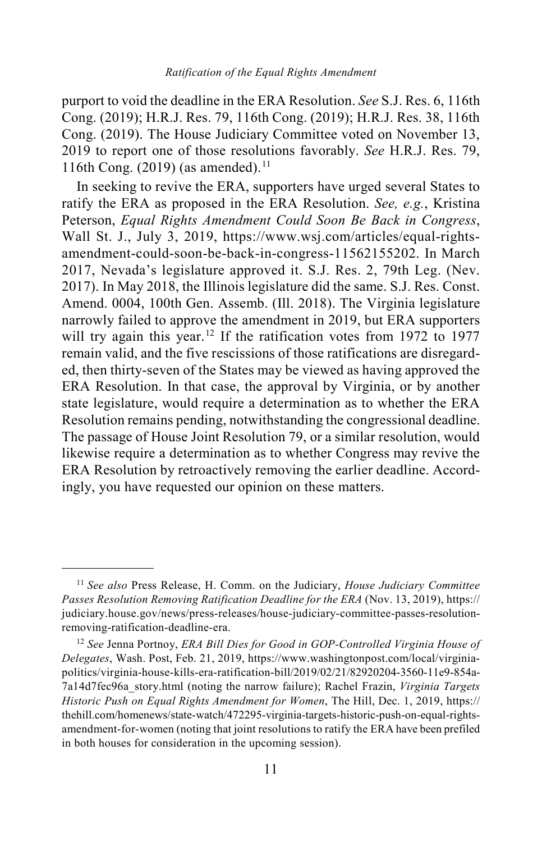purport to void the deadline in the ERA Resolution. *See* S.J. Res. 6, 116th Cong. (2019); H.R.J. Res. 79, 116th Cong. (2019); H.R.J. Res. 38, 116th Cong. (2019). The House Judiciary Committee voted on November 13, 2019 to report one of those resolutions favorably. *See* H.R.J. Res. 79, [11](#page-10-0)6th Cong. (2019) (as amended).<sup>11</sup>

In seeking to revive the ERA, supporters have urged several States to ratify the ERA as proposed in the ERA Resolution. *See, e.g.*, Kristina Peterson, *Equal Rights Amendment Could Soon Be Back in Congress*, Wall St. J., July 3, 2019, [https://www.wsj.com/articles/equal-rights](https://www.wsj.com/%E2%80%8Carticles/%E2%80%8Cequal-rights-amendment-could-soon-be-back-in-congress-11562155202)[amendment-could-soon-be-back-in-congress-11562155202.](https://www.wsj.com/%E2%80%8Carticles/%E2%80%8Cequal-rights-amendment-could-soon-be-back-in-congress-11562155202) In March 2017, Nevada's legislature approved it. S.J. Res. 2, 79th Leg. (Nev. 2017). In May 2018, the Illinois legislature did the same. S.J. Res. Const. Amend. 0004, 100th Gen. Assemb. (Ill. 2018). The Virginia legislature narrowly failed to approve the amendment in 2019, but ERA supporters will try again this year.<sup>[12](#page-10-1)</sup> If the ratification votes from 1972 to 1977 remain valid, and the five rescissions of those ratifications are disregarded, then thirty-seven of the States may be viewed as having approved the ERA Resolution. In that case, the approval by Virginia, or by another state legislature, would require a determination as to whether the ERA Resolution remains pending, notwithstanding the congressional deadline. The passage of House Joint Resolution 79, or a similar resolution, would likewise require a determination as to whether Congress may revive the ERA Resolution by retroactively removing the earlier deadline. Accordingly, you have requested our opinion on these matters.

<span id="page-10-0"></span> <sup>11</sup> *See also* Press Release, H. Comm. on the Judiciary, *House Judiciary Committee Passes Resolution Removing Ratification Deadline for the ERA* (Nov. 13, 2019)[, https://](https://judiciary.house.gov/%E2%80%8Cnews/%E2%80%8Cpress-releases/%E2%80%8Bhouse-judiciary-committee-passes-resolution-removing-ratification-deadline-era) [judiciary.house.gov/news/press-releases/house-judiciary-committee-passes-resolution](https://judiciary.house.gov/%E2%80%8Cnews/%E2%80%8Cpress-releases/%E2%80%8Bhouse-judiciary-committee-passes-resolution-removing-ratification-deadline-era)[removing-ratification-deadline-era.](https://judiciary.house.gov/%E2%80%8Cnews/%E2%80%8Cpress-releases/%E2%80%8Bhouse-judiciary-committee-passes-resolution-removing-ratification-deadline-era)

<span id="page-10-1"></span><sup>12</sup> *See* Jenna Portnoy, *ERA Bill Dies for Good in GOP-Controlled Virginia House of Delegates*, Wash. Post, Feb. 21, 2019[, https://www.washingtonpost.com/local/virginia](https://www.washingtonpost.com/%E2%80%8Clocal/%E2%80%8Cvirginia-politics/%E2%80%8Cvirginia-house-kills-era-ratification-bill/%E2%80%8C2019/%E2%80%8C%E2%80%8C02/%E2%80%8C21/%E2%80%8C82920204-3560-11e9-854a-7a14d7fec96a_story.%E2%80%8Bhtml)[politics/virginia-house-kills-era-ratification-bill/2019/02/21/82920204-3560-11e9-854a-](https://www.washingtonpost.com/%E2%80%8Clocal/%E2%80%8Cvirginia-politics/%E2%80%8Cvirginia-house-kills-era-ratification-bill/%E2%80%8C2019/%E2%80%8C%E2%80%8C02/%E2%80%8C21/%E2%80%8C82920204-3560-11e9-854a-7a14d7fec96a_story.%E2%80%8Bhtml)[7a14d7fec96a\\_story.html](https://www.washingtonpost.com/%E2%80%8Clocal/%E2%80%8Cvirginia-politics/%E2%80%8Cvirginia-house-kills-era-ratification-bill/%E2%80%8C2019/%E2%80%8C%E2%80%8C02/%E2%80%8C21/%E2%80%8C82920204-3560-11e9-854a-7a14d7fec96a_story.%E2%80%8Bhtml) (noting the narrow failure); Rachel Frazin, *Virginia Targets Historic Push on Equal Rights Amendment for Women*, The Hill, Dec. 1, 2019, [https://](https://%E2%80%8C/thehill.%E2%80%8Ccom/%E2%80%8Chomenews/%E2%80%8Cstate-watch/%E2%80%8C472295-virginia-targets-historic-push-on-equal-rights-amendment-for-women) [thehill.com/homenews/state-watch/472295-virginia-targets-historic-push-on-equal-rights](https://%E2%80%8C/thehill.%E2%80%8Ccom/%E2%80%8Chomenews/%E2%80%8Cstate-watch/%E2%80%8C472295-virginia-targets-historic-push-on-equal-rights-amendment-for-women)[amendment-for-women](https://%E2%80%8C/thehill.%E2%80%8Ccom/%E2%80%8Chomenews/%E2%80%8Cstate-watch/%E2%80%8C472295-virginia-targets-historic-push-on-equal-rights-amendment-for-women) (noting that joint resolutions to ratify the ERA have been prefiled in both houses for consideration in the upcoming session).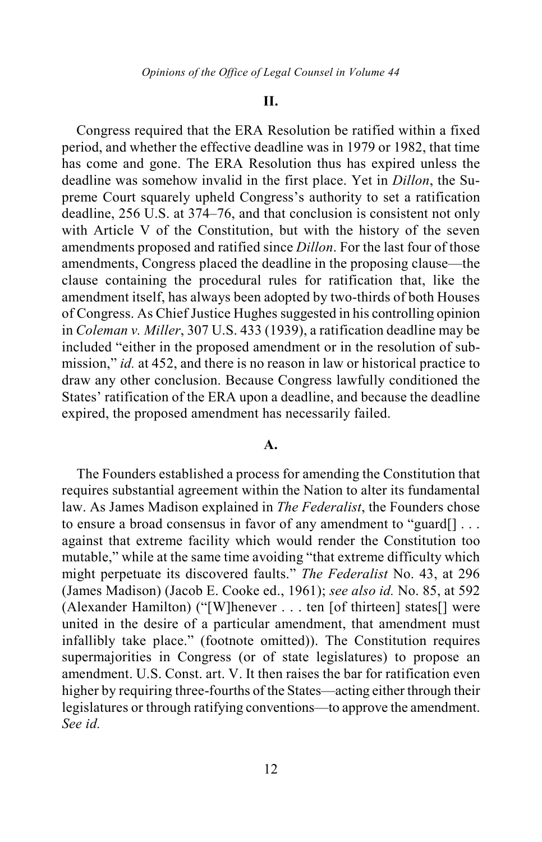### **II.**

Congress required that the ERA Resolution be ratified within a fixed period, and whether the effective deadline was in 1979 or 1982, that time has come and gone. The ERA Resolution thus has expired unless the deadline was somehow invalid in the first place. Yet in *Dillon*, the Supreme Court squarely upheld Congress's authority to set a ratification deadline, 256 U.S. at 374–76, and that conclusion is consistent not only with Article V of the Constitution, but with the history of the seven amendments proposed and ratified since *Dillon*. For the last four of those amendments, Congress placed the deadline in the proposing clause—the clause containing the procedural rules for ratification that, like the amendment itself, has always been adopted by two-thirds of both Houses of Congress. As Chief Justice Hughes suggested in his controlling opinion in *Coleman v. Miller*, 307 U.S. 433 (1939), a ratification deadline may be included "either in the proposed amendment or in the resolution of submission," *id.* at 452, and there is no reason in law or historical practice to draw any other conclusion. Because Congress lawfully conditioned the States' ratification of the ERA upon a deadline, and because the deadline expired, the proposed amendment has necessarily failed.

## **A.**

The Founders established a process for amending the Constitution that requires substantial agreement within the Nation to alter its fundamental law. As James Madison explained in *The Federalist*, the Founders chose to ensure a broad consensus in favor of any amendment to "guard[] . . . against that extreme facility which would render the Constitution too mutable," while at the same time avoiding "that extreme difficulty which might perpetuate its discovered faults." *The Federalist* No. 43, at 296 (James Madison) (Jacob E. Cooke ed., 1961); *see also id.* No. 85, at 592 (Alexander Hamilton) ("[W]henever . . . ten [of thirteen] states[] were united in the desire of a particular amendment, that amendment must infallibly take place." (footnote omitted)). The Constitution requires supermajorities in Congress (or of state legislatures) to propose an amendment. U.S. Const. art. V. It then raises the bar for ratification even higher by requiring three-fourths of the States—acting either through their legislatures or through ratifying conventions—to approve the amendment. *See id.*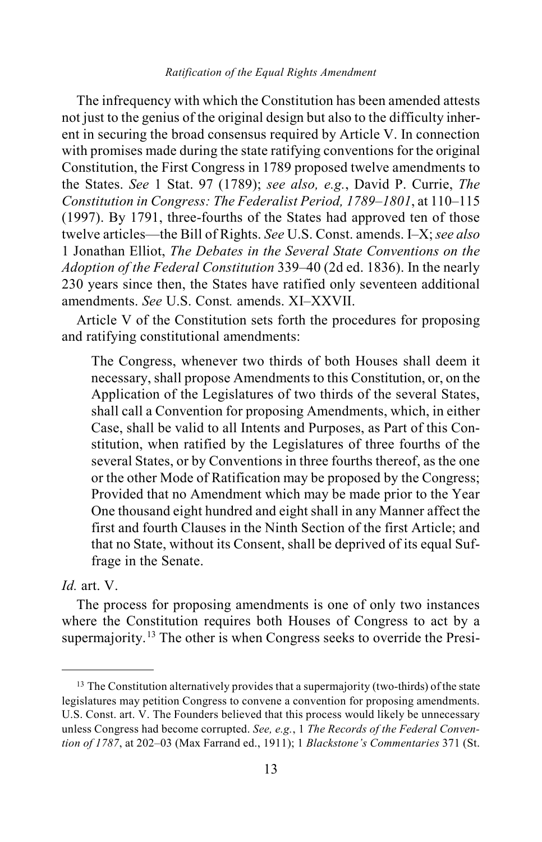The infrequency with which the Constitution has been amended attests not just to the genius of the original design but also to the difficulty inherent in securing the broad consensus required by Article V. In connection with promises made during the state ratifying conventions for the original Constitution, the First Congress in 1789 proposed twelve amendments to the States. *See* 1 Stat. 97 (1789); *see also, e.g.*, David P. Currie, *The Constitution in Congress: The Federalist Period, 1789–1801*, at 110–115 (1997). By 1791, three-fourths of the States had approved ten of those twelve articles—the Bill of Rights. *See* U.S. Const. amends. I–X; *see also*  1 Jonathan Elliot, *The Debates in the Several State Conventions on the Adoption of the Federal Constitution* 339–40 (2d ed. 1836). In the nearly 230 years since then, the States have ratified only seventeen additional amendments. *See* U.S. Const*.* amends. XI–XXVII.

Article V of the Constitution sets forth the procedures for proposing and ratifying constitutional amendments:

The Congress, whenever two thirds of both Houses shall deem it necessary, shall propose Amendments to this Constitution, or, on the Application of the Legislatures of two thirds of the several States, shall call a Convention for proposing Amendments, which, in either Case, shall be valid to all Intents and Purposes, as Part of this Constitution, when ratified by the Legislatures of three fourths of the several States, or by Conventions in three fourths thereof, as the one or the other Mode of Ratification may be proposed by the Congress; Provided that no Amendment which may be made prior to the Year One thousand eight hundred and eight shall in any Manner affect the first and fourth Clauses in the Ninth Section of the first Article; and that no State, without its Consent, shall be deprived of its equal Suffrage in the Senate.

## *Id.* art. V.

<span id="page-12-1"></span>The process for proposing amendments is one of only two instances where the Constitution requires both Houses of Congress to act by a supermajority.<sup>[13](#page-12-0)</sup> The other is when Congress seeks to override the Presi-

<span id="page-12-0"></span> $13$  The Constitution alternatively provides that a supermajority (two-thirds) of the state legislatures may petition Congress to convene a convention for proposing amendments. U.S. Const. art. V. The Founders believed that this process would likely be unnecessary unless Congress had become corrupted. *See, e.g.*, 1 *The Records of the Federal Convention of 1787*, at 202–03 (Max Farrand ed., 1911); 1 *Blackstone's Commentaries* 371 (St.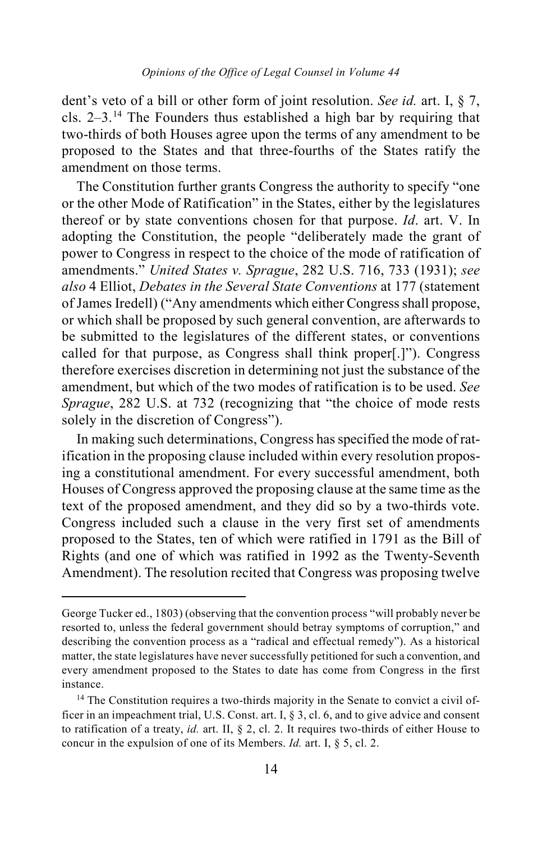dent's veto of a bill or other form of joint resolution. *See id.* art. I, § 7, cls. 2–3.[14](#page-13-0) The Founders thus established a high bar by requiring that two-thirds of both Houses agree upon the terms of any amendment to be proposed to the States and that three-fourths of the States ratify the amendment on those terms.

The Constitution further grants Congress the authority to specify "one or the other Mode of Ratification" in the States, either by the legislatures thereof or by state conventions chosen for that purpose. *Id*. art. V. In adopting the Constitution, the people "deliberately made the grant of power to Congress in respect to the choice of the mode of ratification of amendments." *United States v. Sprague*, 282 U.S. 716, 733 (1931); *see also* 4 Elliot, *Debates in the Several State Conventions* at 177 (statement of James Iredell) ("Any amendments which either Congress shall propose, or which shall be proposed by such general convention, are afterwards to be submitted to the legislatures of the different states, or conventions called for that purpose, as Congress shall think proper[.]"). Congress therefore exercises discretion in determining not just the substance of the amendment, but which of the two modes of ratification is to be used. *See Sprague*, 282 U.S. at 732 (recognizing that "the choice of mode rests solely in the discretion of Congress").

<span id="page-13-1"></span>In making such determinations, Congress has specified the mode of ratification in the proposing clause included within every resolution proposing a constitutional amendment. For every successful amendment, both Houses of Congress approved the proposing clause at the same time as the text of the proposed amendment, and they did so by a two-thirds vote. Congress included such a clause in the very first set of amendments proposed to the States, ten of which were ratified in 1791 as the Bill of Rights (and one of which was ratified in 1992 as the Twenty-Seventh Amendment). The resolution recited that Congress was proposing twelve

 $\overline{a}$ 

George Tucker ed., 1803) (observing that the convention process "will probably never be resorted to, unless the federal government should betray symptoms of corruption," and describing the convention process as a "radical and effectual remedy"). As a historical matter, the state legislatures have never successfully petitioned for such a convention, and every amendment proposed to the States to date has come from Congress in the first instance.

<span id="page-13-0"></span><sup>&</sup>lt;sup>14</sup> The Constitution requires a two-thirds majority in the Senate to convict a civil officer in an impeachment trial, U.S. Const. art. I, § 3, cl. 6, and to give advice and consent to ratification of a treaty, *id.* art. II, § 2, cl. 2. It requires two-thirds of either House to concur in the expulsion of one of its Members. *Id.* art. I, § 5, cl. 2.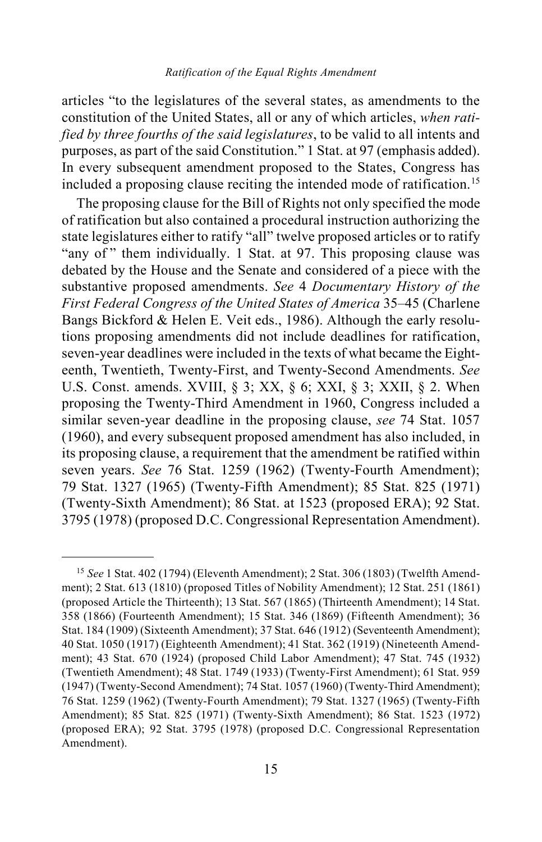articles "to the legislatures of the several states, as amendments to the constitution of the United States, all or any of which articles, *when ratified by three fourths of the said legislatures*, to be valid to all intents and purposes, as part of the said Constitution." 1 Stat. at 97 (emphasis added). In every subsequent amendment proposed to the States, Congress has included a proposing clause reciting the intended mode of ratification.<sup>[15](#page-14-0)</sup>

<span id="page-14-2"></span><span id="page-14-1"></span>The proposing clause for the Bill of Rights not only specified the mode of ratification but also contained a procedural instruction authorizing the state legislatures either to ratify "all" twelve proposed articles or to ratify "any of" them individually. 1 Stat. at 97. This proposing clause was debated by the House and the Senate and considered of a piece with the substantive proposed amendments. *See* 4 *Documentary History of the First Federal Congress of the United States of America* 35–45 (Charlene Bangs Bickford & Helen E. Veit eds., 1986). Although the early resolutions proposing amendments did not include deadlines for ratification, seven-year deadlines were included in the texts of what became the Eighteenth, Twentieth, Twenty-First, and Twenty-Second Amendments. *See* U.S. Const. amends. XVIII, § 3; XX, § 6; XXI, § 3; XXII, § 2. When proposing the Twenty-Third Amendment in 1960, Congress included a similar seven-year deadline in the proposing clause, *see* 74 Stat. 1057 (1960), and every subsequent proposed amendment has also included, in its proposing clause, a requirement that the amendment be ratified within seven years. *See* 76 Stat. 1259 (1962) (Twenty-Fourth Amendment); 79 Stat. 1327 (1965) (Twenty-Fifth Amendment); 85 Stat. 825 (1971) (Twenty-Sixth Amendment); 86 Stat. at 1523 (proposed ERA); 92 Stat. 3795 (1978) (proposed D.C. Congressional Representation Amendment).

<span id="page-14-0"></span> <sup>15</sup> *See* 1 Stat. 402 (1794) (Eleventh Amendment); 2 Stat. 306 (1803) (Twelfth Amendment); 2 Stat. 613 (1810) (proposed Titles of Nobility Amendment); 12 Stat. 251 (1861) (proposed Article the Thirteenth); 13 Stat. 567 (1865) (Thirteenth Amendment); 14 Stat. 358 (1866) (Fourteenth Amendment); 15 Stat. 346 (1869) (Fifteenth Amendment); 36 Stat. 184 (1909) (Sixteenth Amendment); 37 Stat. 646 (1912) (Seventeenth Amendment); 40 Stat. 1050 (1917) (Eighteenth Amendment); 41 Stat. 362 (1919) (Nineteenth Amendment); 43 Stat. 670 (1924) (proposed Child Labor Amendment); 47 Stat. 745 (1932) (Twentieth Amendment); 48 Stat. 1749 (1933) (Twenty-First Amendment); 61 Stat. 959 (1947) (Twenty-Second Amendment); 74 Stat. 1057 (1960) (Twenty-Third Amendment); 76 Stat. 1259 (1962) (Twenty-Fourth Amendment); 79 Stat. 1327 (1965) (Twenty-Fifth Amendment); 85 Stat. 825 (1971) (Twenty-Sixth Amendment); 86 Stat. 1523 (1972) (proposed ERA); 92 Stat. 3795 (1978) (proposed D.C. Congressional Representation Amendment).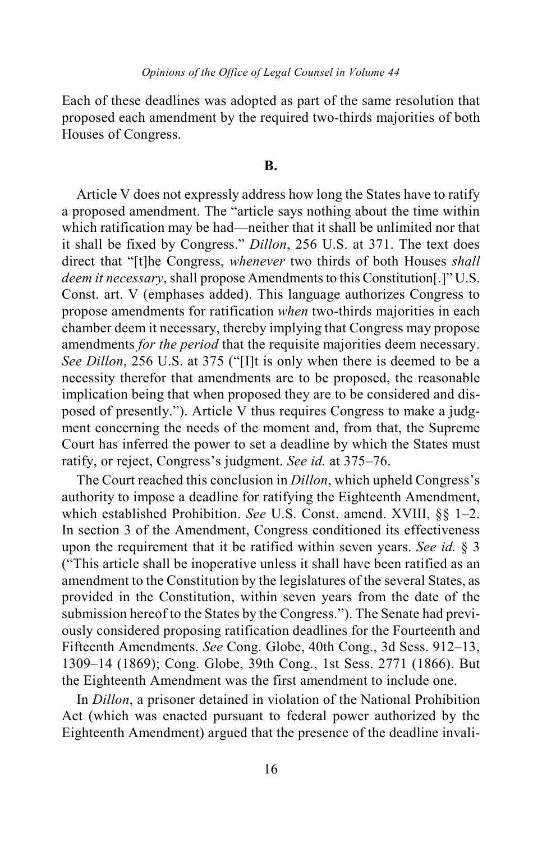Each of these deadlines was adopted as part of the same resolution that proposed each amendment by the required two-thirds majorities of both Houses of Congress.

## **B.**

Article V does not expressly address how long the States have to ratify a proposed amendment. The "article says nothing about the time within which ratification may be had—neither that it shall be unlimited nor that it shall be fixed by Congress." *Dillon*, 256 U.S. at 371. The text does direct that "[t]he Congress, *whenever* two thirds of both Houses *shall deem it necessary*, shall propose Amendments to this Constitution[.]" U.S. Const. art. V (emphases added). This language authorizes Congress to propose amendments for ratification *when* two-thirds majorities in each chamber deem it necessary, thereby implying that Congress may propose amendments *for the period* that the requisite majorities deem necessary. *See Dillon*, 256 U.S. at 375 ("[I]t is only when there is deemed to be a necessity therefor that amendments are to be proposed, the reasonable implication being that when proposed they are to be considered and disposed of presently."). Article V thus requires Congress to make a judgment concerning the needs of the moment and, from that, the Supreme Court has inferred the power to set a deadline by which the States must ratify, or reject, Congress's judgment. *See id.* at 375–76.

The Court reached this conclusion in *Dillon*, which upheld Congress's authority to impose a deadline for ratifying the Eighteenth Amendment, which established Prohibition. *See* U.S. Const. amend. XVIII, §§ 1–2. In section 3 of the Amendment, Congress conditioned its effectiveness upon the requirement that it be ratified within seven years. *See id.* § 3 ("This article shall be inoperative unless it shall have been ratified as an amendment to the Constitution by the legislatures of the several States, as provided in the Constitution, within seven years from the date of the submission hereof to the States by the Congress."). The Senate had previously considered proposing ratification deadlines for the Fourteenth and Fifteenth Amendments. *See* Cong. Globe, 40th Cong., 3d Sess. 912–13, 1309–14 (1869); Cong. Globe, 39th Cong., 1st Sess. 2771 (1866). But the Eighteenth Amendment was the first amendment to include one.

In *Dillon*, a prisoner detained in violation of the National Prohibition Act (which was enacted pursuant to federal power authorized by the Eighteenth Amendment) argued that the presence of the deadline invali-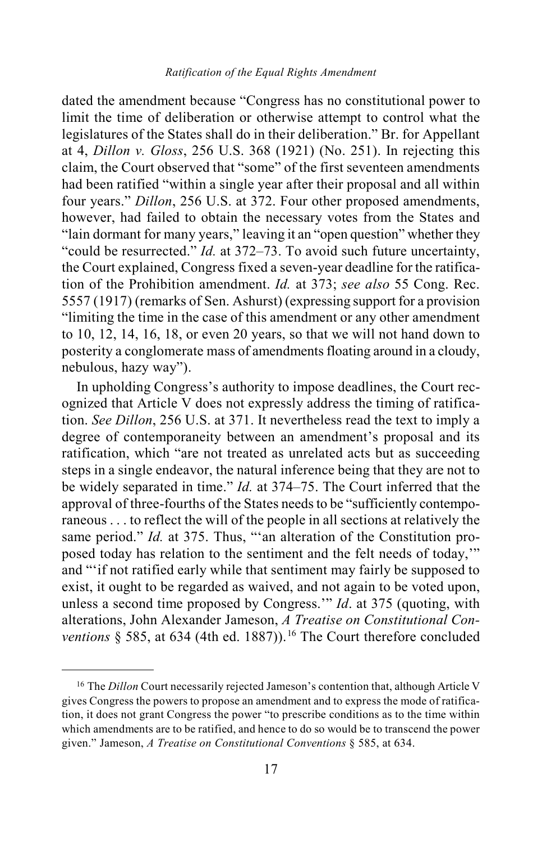dated the amendment because "Congress has no constitutional power to limit the time of deliberation or otherwise attempt to control what the legislatures of the States shall do in their deliberation." Br. for Appellant at 4, *Dillon v. Gloss*, 256 U.S. 368 (1921) (No. 251). In rejecting this claim, the Court observed that "some" of the first seventeen amendments had been ratified "within a single year after their proposal and all within four years." *Dillon*, 256 U.S. at 372. Four other proposed amendments, however, had failed to obtain the necessary votes from the States and "lain dormant for many years," leaving it an "open question" whether they "could be resurrected." *Id.* at 372–73. To avoid such future uncertainty, the Court explained, Congress fixed a seven-year deadline for the ratification of the Prohibition amendment. *Id.* at 373; *see also* 55 Cong. Rec. 5557 (1917) (remarks of Sen. Ashurst) (expressing support for a provision "limiting the time in the case of this amendment or any other amendment to 10, 12, 14, 16, 18, or even 20 years, so that we will not hand down to posterity a conglomerate mass of amendments floating around in a cloudy, nebulous, hazy way").

In upholding Congress's authority to impose deadlines, the Court recognized that Article V does not expressly address the timing of ratification. *See Dillon*, 256 U.S. at 371. It nevertheless read the text to imply a degree of contemporaneity between an amendment's proposal and its ratification, which "are not treated as unrelated acts but as succeeding steps in a single endeavor, the natural inference being that they are not to be widely separated in time." *Id.* at 374–75. The Court inferred that the approval of three-fourths of the States needs to be "sufficiently contemporaneous . . . to reflect the will of the people in all sections at relatively the same period." *Id.* at 375. Thus, "'an alteration of the Constitution proposed today has relation to the sentiment and the felt needs of today,'" and "'if not ratified early while that sentiment may fairly be supposed to exist, it ought to be regarded as waived, and not again to be voted upon, unless a second time proposed by Congress.'" *Id*. at 375 (quoting, with alterations, John Alexander Jameson, *A Treatise on Constitutional Conventions* § 585, at 634 (4th ed. 1887)).<sup>[16](#page-16-0)</sup> The Court therefore concluded

<span id="page-16-0"></span><sup>&</sup>lt;sup>16</sup> The *Dillon* Court necessarily rejected Jameson's contention that, although Article V gives Congress the powers to propose an amendment and to express the mode of ratification, it does not grant Congress the power "to prescribe conditions as to the time within which amendments are to be ratified, and hence to do so would be to transcend the power given." Jameson, *A Treatise on Constitutional Conventions* § 585, at 634.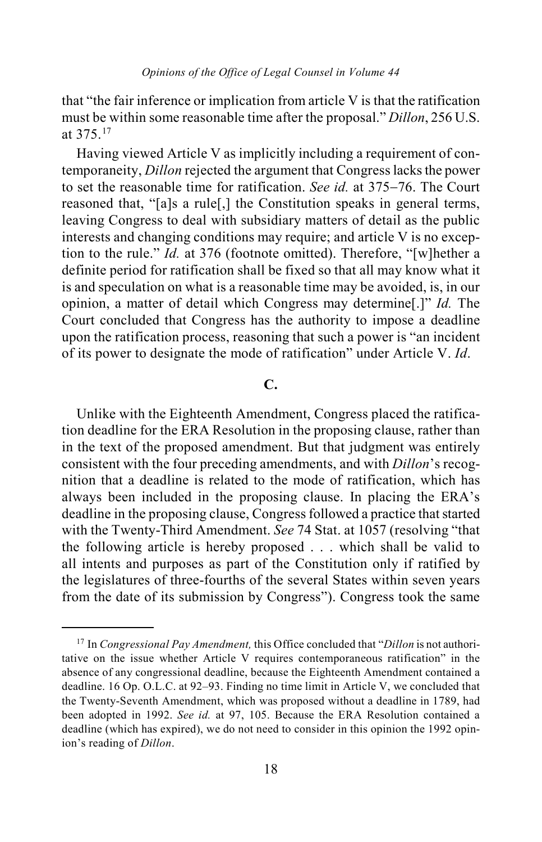that "the fair inference or implication from article V is that the ratification must be within some reasonable time after the proposal." *Dillon*, 256 U.S. at 375. [17](#page-17-0)

Having viewed Article V as implicitly including a requirement of contemporaneity, *Dillon* rejected the argument that Congress lacks the power to set the reasonable time for ratification. *See id.* at 375−76. The Court reasoned that, "[a]s a rule[,] the Constitution speaks in general terms, leaving Congress to deal with subsidiary matters of detail as the public interests and changing conditions may require; and article V is no exception to the rule." *Id.* at 376 (footnote omitted). Therefore, "[w]hether a definite period for ratification shall be fixed so that all may know what it is and speculation on what is a reasonable time may be avoided, is, in our opinion, a matter of detail which Congress may determine[.]" *Id.* The Court concluded that Congress has the authority to impose a deadline upon the ratification process, reasoning that such a power is "an incident of its power to designate the mode of ratification" under Article V. *Id*.

## **C.**

Unlike with the Eighteenth Amendment, Congress placed the ratification deadline for the ERA Resolution in the proposing clause, rather than in the text of the proposed amendment. But that judgment was entirely consistent with the four preceding amendments, and with *Dillon*'s recognition that a deadline is related to the mode of ratification, which has always been included in the proposing clause. In placing the ERA's deadline in the proposing clause, Congress followed a practice that started with the Twenty-Third Amendment. *See* 74 Stat. at 1057 (resolving "that the following article is hereby proposed . . . which shall be valid to all intents and purposes as part of the Constitution only if ratified by the legislatures of three-fourths of the several States within seven years from the date of its submission by Congress"). Congress took the same

<span id="page-17-0"></span> <sup>17</sup> In *Congressional Pay Amendment,* this Office concluded that "*Dillon* is not authoritative on the issue whether Article V requires contemporaneous ratification" in the absence of any congressional deadline, because the Eighteenth Amendment contained a deadline. 16 Op. O.L.C. at 92–93. Finding no time limit in Article V, we concluded that the Twenty-Seventh Amendment, which was proposed without a deadline in 1789, had been adopted in 1992. *See id.* at 97, 105. Because the ERA Resolution contained a deadline (which has expired), we do not need to consider in this opinion the 1992 opinion's reading of *Dillon*.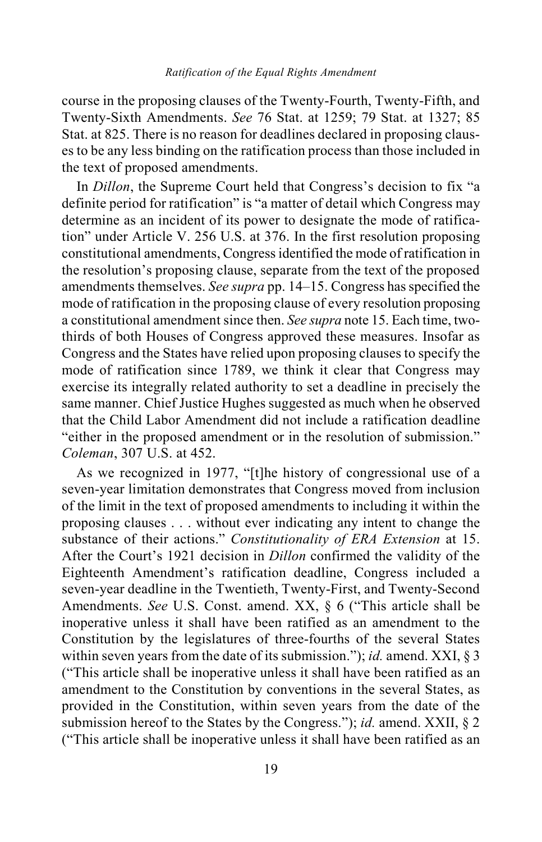course in the proposing clauses of the Twenty-Fourth, Twenty-Fifth, and Twenty-Sixth Amendments. *See* 76 Stat. at 1259; 79 Stat. at 1327; 85 Stat. at 825. There is no reason for deadlines declared in proposing clauses to be any less binding on the ratification process than those included in the text of proposed amendments.

In *Dillon*, the Supreme Court held that Congress's decision to fix "a definite period for ratification" is "a matter of detail which Congress may determine as an incident of its power to designate the mode of ratification" under Article V. 256 U.S. at 376. In the first resolution proposing constitutional amendments, Congress identified the mode of ratification in the resolution's proposing clause, separate from the text of the proposed amendments themselves. *See supra* pp[. 14](#page-13-1)[–15.](#page-14-1) Congress has specified the mode of ratification in the proposing clause of every resolution proposing a constitutional amendment since then. *See supra* not[e 15.](#page-14-2) Each time, twothirds of both Houses of Congress approved these measures. Insofar as Congress and the States have relied upon proposing clauses to specify the mode of ratification since 1789, we think it clear that Congress may exercise its integrally related authority to set a deadline in precisely the same manner. Chief Justice Hughes suggested as much when he observed that the Child Labor Amendment did not include a ratification deadline "either in the proposed amendment or in the resolution of submission." *Coleman*, 307 U.S. at 452.

As we recognized in 1977, "[t]he history of congressional use of a seven-year limitation demonstrates that Congress moved from inclusion of the limit in the text of proposed amendments to including it within the proposing clauses . . . without ever indicating any intent to change the substance of their actions." *Constitutionality of ERA Extension* at 15. After the Court's 1921 decision in *Dillon* confirmed the validity of the Eighteenth Amendment's ratification deadline, Congress included a seven-year deadline in the Twentieth, Twenty-First, and Twenty-Second Amendments. *See* U.S. Const. amend. XX, § 6 ("This article shall be inoperative unless it shall have been ratified as an amendment to the Constitution by the legislatures of three-fourths of the several States within seven years from the date of its submission."); *id.* amend. XXI, § 3 ("This article shall be inoperative unless it shall have been ratified as an amendment to the Constitution by conventions in the several States, as provided in the Constitution, within seven years from the date of the submission hereof to the States by the Congress."); *id.* amend. XXII, § 2 ("This article shall be inoperative unless it shall have been ratified as an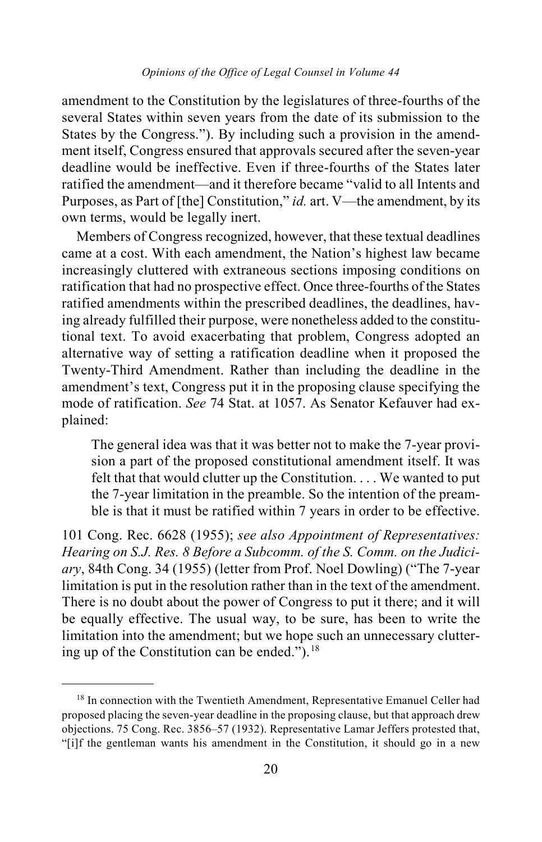amendment to the Constitution by the legislatures of three-fourths of the several States within seven years from the date of its submission to the States by the Congress."). By including such a provision in the amendment itself, Congress ensured that approvals secured after the seven-year deadline would be ineffective. Even if three-fourths of the States later ratified the amendment—and it therefore became "valid to all Intents and Purposes, as Part of [the] Constitution," *id.* art. V—the amendment, by its own terms, would be legally inert.

Members of Congress recognized, however, that these textual deadlines came at a cost. With each amendment, the Nation's highest law became increasingly cluttered with extraneous sections imposing conditions on ratification that had no prospective effect. Once three-fourths of the States ratified amendments within the prescribed deadlines, the deadlines, having already fulfilled their purpose, were nonetheless added to the constitutional text. To avoid exacerbating that problem, Congress adopted an alternative way of setting a ratification deadline when it proposed the Twenty-Third Amendment. Rather than including the deadline in the amendment's text, Congress put it in the proposing clause specifying the mode of ratification. *See* 74 Stat. at 1057. As Senator Kefauver had explained:

The general idea was that it was better not to make the 7-year provision a part of the proposed constitutional amendment itself. It was felt that that would clutter up the Constitution. . . . We wanted to put the 7-year limitation in the preamble. So the intention of the preamble is that it must be ratified within 7 years in order to be effective.

101 Cong. Rec. 6628 (1955); *see also Appointment of Representatives: Hearing on S.J. Res. 8 Before a Subcomm. of the S. Comm. on the Judiciary*, 84th Cong. 34 (1955) (letter from Prof. Noel Dowling) ("The 7-year limitation is put in the resolution rather than in the text of the amendment. There is no doubt about the power of Congress to put it there; and it will be equally effective. The usual way, to be sure, has been to write the limitation into the amendment; but we hope such an unnecessary cluttering up of the Constitution can be ended." $)$ .<sup>[18](#page-19-0)</sup>

<span id="page-19-0"></span><sup>&</sup>lt;sup>18</sup> In connection with the Twentieth Amendment, Representative Emanuel Celler had proposed placing the seven-year deadline in the proposing clause, but that approach drew objections. 75 Cong. Rec. 3856–57 (1932). Representative Lamar Jeffers protested that, "[i]f the gentleman wants his amendment in the Constitution, it should go in a new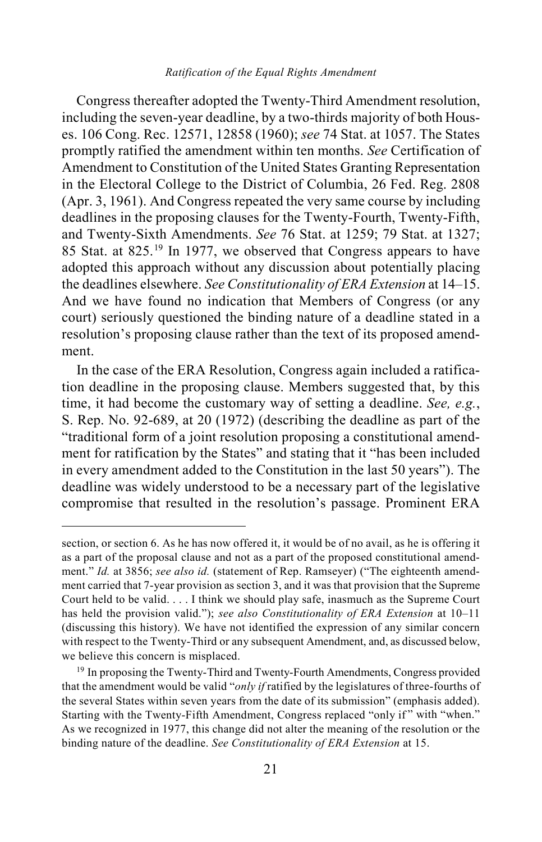#### *Ratification of the Equal Rights Amendment*

Congress thereafter adopted the Twenty-Third Amendment resolution, including the seven-year deadline, by a two-thirds majority of both Houses. 106 Cong. Rec. 12571, 12858 (1960); *see* 74 Stat. at 1057. The States promptly ratified the amendment within ten months. *See* Certification of Amendment to Constitution of the United States Granting Representation in the Electoral College to the District of Columbia, 26 Fed. Reg. 2808 (Apr. 3, 1961). And Congress repeated the very same course by including deadlines in the proposing clauses for the Twenty-Fourth, Twenty-Fifth, and Twenty-Sixth Amendments. *See* 76 Stat. at 1259; 79 Stat. at 1327; 85 Stat. at 825.[19](#page-20-0) In 1977, we observed that Congress appears to have adopted this approach without any discussion about potentially placing the deadlines elsewhere. *See Constitutionality of ERA Extension* at 14–15. And we have found no indication that Members of Congress (or any court) seriously questioned the binding nature of a deadline stated in a resolution's proposing clause rather than the text of its proposed amendment.

In the case of the ERA Resolution, Congress again included a ratification deadline in the proposing clause. Members suggested that, by this time, it had become the customary way of setting a deadline. *See, e.g.*, S. Rep. No. 92-689, at 20 (1972) (describing the deadline as part of the "traditional form of a joint resolution proposing a constitutional amendment for ratification by the States" and stating that it "has been included in every amendment added to the Constitution in the last 50 years"). The deadline was widely understood to be a necessary part of the legislative compromise that resulted in the resolution's passage. Prominent ERA

 $\overline{a}$ 

section, or section 6. As he has now offered it, it would be of no avail, as he is offering it as a part of the proposal clause and not as a part of the proposed constitutional amendment." *Id.* at 3856; *see also id.* (statement of Rep. Ramseyer) ("The eighteenth amendment carried that 7-year provision as section 3, and it was that provision that the Supreme Court held to be valid. . . . I think we should play safe, inasmuch as the Supreme Court has held the provision valid."); *see also Constitutionality of ERA Extension* at 10–11 (discussing this history). We have not identified the expression of any similar concern with respect to the Twenty-Third or any subsequent Amendment, and, as discussed below, we believe this concern is misplaced.

<span id="page-20-0"></span><sup>&</sup>lt;sup>19</sup> In proposing the Twenty-Third and Twenty-Fourth Amendments, Congress provided that the amendment would be valid "*only if* ratified by the legislatures of three-fourths of the several States within seven years from the date of its submission" (emphasis added). Starting with the Twenty-Fifth Amendment, Congress replaced "only if " with "when." As we recognized in 1977, this change did not alter the meaning of the resolution or the binding nature of the deadline. *See Constitutionality of ERA Extension* at 15.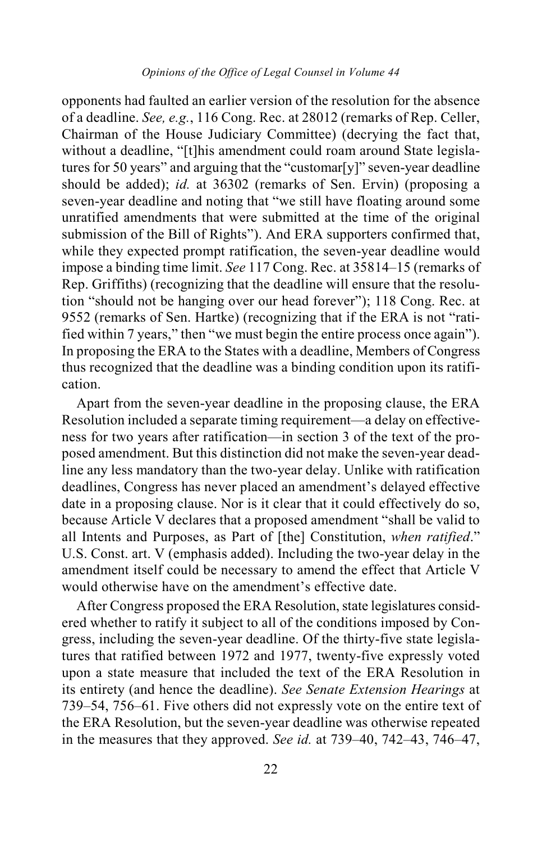opponents had faulted an earlier version of the resolution for the absence of a deadline. *See, e.g.*, 116 Cong. Rec. at 28012 (remarks of Rep. Celler, Chairman of the House Judiciary Committee) (decrying the fact that, without a deadline, "[t]his amendment could roam around State legislatures for 50 years" and arguing that the "customar[y]" seven-year deadline should be added); *id.* at 36302 (remarks of Sen. Ervin) (proposing a seven-year deadline and noting that "we still have floating around some unratified amendments that were submitted at the time of the original submission of the Bill of Rights"). And ERA supporters confirmed that, while they expected prompt ratification, the seven-year deadline would impose a binding time limit. *See* 117 Cong. Rec. at 35814–15 (remarks of Rep. Griffiths) (recognizing that the deadline will ensure that the resolution "should not be hanging over our head forever"); 118 Cong. Rec. at 9552 (remarks of Sen. Hartke) (recognizing that if the ERA is not "ratified within 7 years," then "we must begin the entire process once again"). In proposing the ERA to the States with a deadline, Members of Congress thus recognized that the deadline was a binding condition upon its ratification.

Apart from the seven-year deadline in the proposing clause, the ERA Resolution included a separate timing requirement—a delay on effectiveness for two years after ratification—in section 3 of the text of the proposed amendment. But this distinction did not make the seven-year deadline any less mandatory than the two-year delay. Unlike with ratification deadlines, Congress has never placed an amendment's delayed effective date in a proposing clause. Nor is it clear that it could effectively do so, because Article V declares that a proposed amendment "shall be valid to all Intents and Purposes, as Part of [the] Constitution, *when ratified*." U.S. Const. art. V (emphasis added). Including the two-year delay in the amendment itself could be necessary to amend the effect that Article V would otherwise have on the amendment's effective date.

After Congress proposed the ERA Resolution, state legislatures considered whether to ratify it subject to all of the conditions imposed by Congress, including the seven-year deadline. Of the thirty-five state legislatures that ratified between 1972 and 1977, twenty-five expressly voted upon a state measure that included the text of the ERA Resolution in its entirety (and hence the deadline). *See Senate Extension Hearings* at 739–54, 756–61. Five others did not expressly vote on the entire text of the ERA Resolution, but the seven-year deadline was otherwise repeated in the measures that they approved. *See id.* at 739–40, 742–43, 746–47,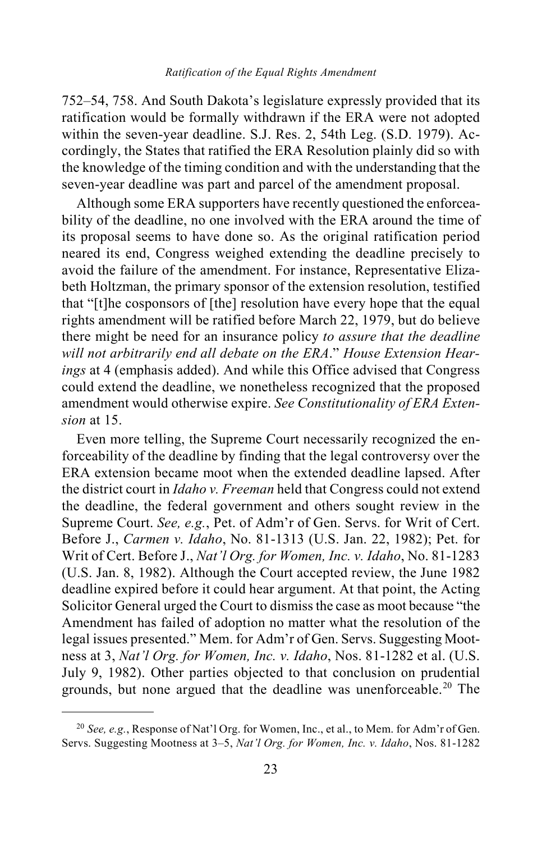752–54, 758. And South Dakota's legislature expressly provided that its ratification would be formally withdrawn if the ERA were not adopted within the seven-year deadline. S.J. Res. 2, 54th Leg. (S.D. 1979). Accordingly, the States that ratified the ERA Resolution plainly did so with the knowledge of the timing condition and with the understanding that the seven-year deadline was part and parcel of the amendment proposal.

Although some ERA supporters have recently questioned the enforceability of the deadline, no one involved with the ERA around the time of its proposal seems to have done so. As the original ratification period neared its end, Congress weighed extending the deadline precisely to avoid the failure of the amendment. For instance, Representative Elizabeth Holtzman, the primary sponsor of the extension resolution, testified that "[t]he cosponsors of [the] resolution have every hope that the equal rights amendment will be ratified before March 22, 1979, but do believe there might be need for an insurance policy *to assure that the deadline will not arbitrarily end all debate on the ERA*." *House Extension Hearings* at 4 (emphasis added). And while this Office advised that Congress could extend the deadline, we nonetheless recognized that the proposed amendment would otherwise expire. *See Constitutionality of ERA Extension* at 15.

Even more telling, the Supreme Court necessarily recognized the enforceability of the deadline by finding that the legal controversy over the ERA extension became moot when the extended deadline lapsed. After the district court in *Idaho v. Freeman* held that Congress could not extend the deadline, the federal government and others sought review in the Supreme Court. *See, e.g.*, Pet. of Adm'r of Gen. Servs. for Writ of Cert. Before J., *Carmen v. Idaho*, No. 81-1313 (U.S. Jan. 22, 1982); Pet. for Writ of Cert. Before J., *Nat'l Org. for Women, Inc. v. Idaho*, No. 81-1283 (U.S. Jan. 8, 1982). Although the Court accepted review, the June 1982 deadline expired before it could hear argument. At that point, the Acting Solicitor General urged the Court to dismiss the case as moot because "the Amendment has failed of adoption no matter what the resolution of the legal issues presented." Mem. for Adm'r of Gen. Servs. Suggesting Mootness at 3, *Nat'l Org. for Women, Inc. v. Idaho*, Nos. 81-1282 et al. (U.S. July 9, 1982). Other parties objected to that conclusion on prudential grounds, but none argued that the deadline was unenforceable.<sup>[20](#page-22-0)</sup> The

<span id="page-22-0"></span> <sup>20</sup> *See, e.g.*, Response of Nat'l Org. for Women, Inc., et al., to Mem. for Adm'r of Gen. Servs. Suggesting Mootness at 3–5, *Nat'l Org. for Women, Inc. v. Idaho*, Nos. 81-1282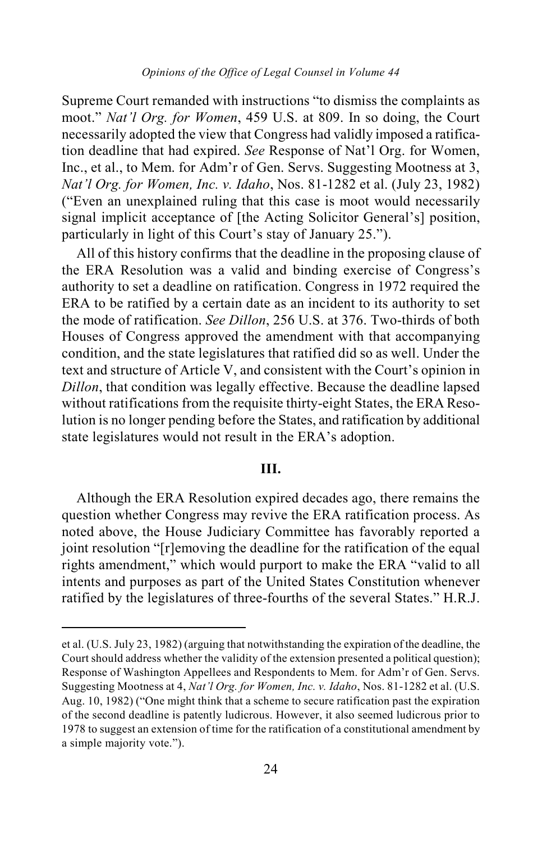Supreme Court remanded with instructions "to dismiss the complaints as moot." *Nat'l Org. for Women*, 459 U.S. at 809. In so doing, the Court necessarily adopted the view that Congress had validly imposed a ratification deadline that had expired. *See* Response of Nat'l Org. for Women, Inc., et al., to Mem. for Adm'r of Gen. Servs. Suggesting Mootness at 3, *Nat'l Org. for Women, Inc. v. Idaho*, Nos. 81-1282 et al. (July 23, 1982) ("Even an unexplained ruling that this case is moot would necessarily signal implicit acceptance of [the Acting Solicitor General's] position, particularly in light of this Court's stay of January 25.").

All of this history confirms that the deadline in the proposing clause of the ERA Resolution was a valid and binding exercise of Congress's authority to set a deadline on ratification. Congress in 1972 required the ERA to be ratified by a certain date as an incident to its authority to set the mode of ratification. *See Dillon*, 256 U.S. at 376. Two-thirds of both Houses of Congress approved the amendment with that accompanying condition, and the state legislatures that ratified did so as well. Under the text and structure of Article V, and consistent with the Court's opinion in *Dillon*, that condition was legally effective. Because the deadline lapsed without ratifications from the requisite thirty-eight States, the ERA Resolution is no longer pending before the States, and ratification by additional state legislatures would not result in the ERA's adoption.

## **III.**

Although the ERA Resolution expired decades ago, there remains the question whether Congress may revive the ERA ratification process. As noted above, the House Judiciary Committee has favorably reported a joint resolution "[r]emoving the deadline for the ratification of the equal rights amendment," which would purport to make the ERA "valid to all intents and purposes as part of the United States Constitution whenever ratified by the legislatures of three-fourths of the several States." H.R.J.

 $\overline{a}$ 

et al. (U.S. July 23, 1982) (arguing that notwithstanding the expiration of the deadline, the Court should address whether the validity of the extension presented a political question); Response of Washington Appellees and Respondents to Mem. for Adm'r of Gen. Servs. Suggesting Mootness at 4, *Nat'l Org. for Women, Inc. v. Idaho*, Nos. 81-1282 et al. (U.S. Aug. 10, 1982) ("One might think that a scheme to secure ratification past the expiration of the second deadline is patently ludicrous. However, it also seemed ludicrous prior to 1978 to suggest an extension of time for the ratification of a constitutional amendment by a simple majority vote.").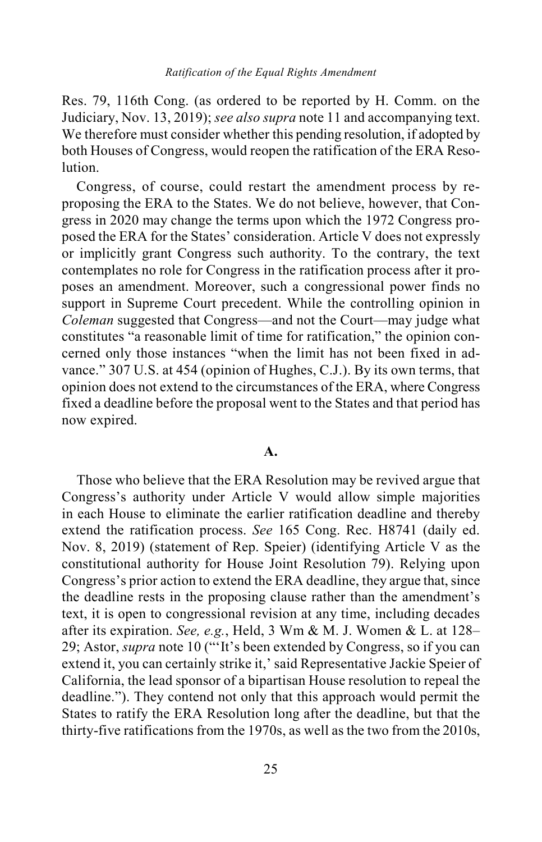Res. 79, 116th Cong. (as ordered to be reported by H. Comm. on the Judiciary, Nov. 13, 2019); *see also supra* note 11 and accompanying text. We therefore must consider whether this pending resolution, if adopted by both Houses of Congress, would reopen the ratification of the ERA Resolution.

Congress, of course, could restart the amendment process by reproposing the ERA to the States. We do not believe, however, that Congress in 2020 may change the terms upon which the 1972 Congress proposed the ERA for the States' consideration. Article V does not expressly or implicitly grant Congress such authority. To the contrary, the text contemplates no role for Congress in the ratification process after it proposes an amendment. Moreover, such a congressional power finds no support in Supreme Court precedent. While the controlling opinion in *Coleman* suggested that Congress—and not the Court—may judge what constitutes "a reasonable limit of time for ratification," the opinion concerned only those instances "when the limit has not been fixed in advance." 307 U.S. at 454 (opinion of Hughes, C.J.). By its own terms, that opinion does not extend to the circumstances of the ERA, where Congress fixed a deadline before the proposal went to the States and that period has now expired.

### **A.**

Those who believe that the ERA Resolution may be revived argue that Congress's authority under Article V would allow simple majorities in each House to eliminate the earlier ratification deadline and thereby extend the ratification process. *See* 165 Cong. Rec. H8741 (daily ed. Nov. 8, 2019) (statement of Rep. Speier) (identifying Article V as the constitutional authority for House Joint Resolution 79). Relying upon Congress's prior action to extend the ERA deadline, they argue that, since the deadline rests in the proposing clause rather than the amendment's text, it is open to congressional revision at any time, including decades after its expiration. *See, e.g.*, Held, 3 Wm & M. J. Women & L. at 128– 29; Astor, *supra* note 10 ("'It's been extended by Congress, so if you can extend it, you can certainly strike it,' said Representative Jackie Speier of California, the lead sponsor of a bipartisan House resolution to repeal the deadline."). They contend not only that this approach would permit the States to ratify the ERA Resolution long after the deadline, but that the thirty-five ratifications from the 1970s, as well as the two from the 2010s,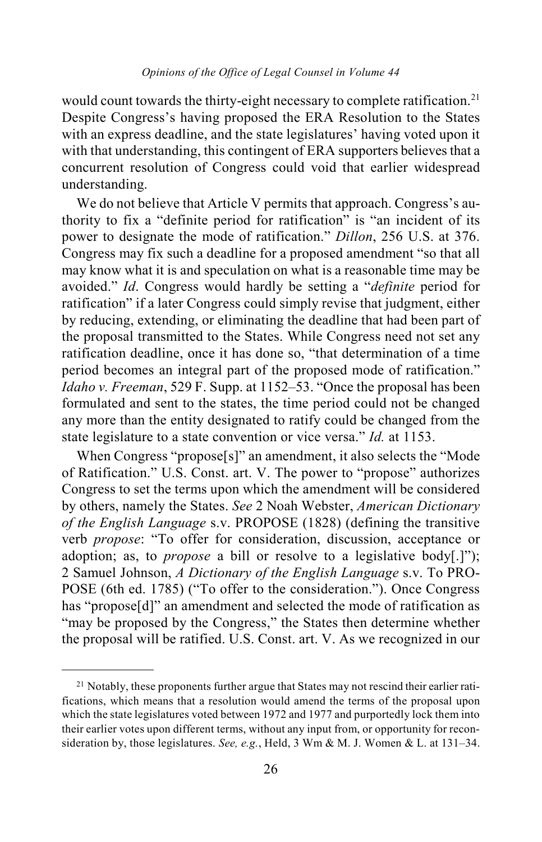would count towards the thirty-eight necessary to complete ratification.<sup>[21](#page-25-0)</sup> Despite Congress's having proposed the ERA Resolution to the States with an express deadline, and the state legislatures' having voted upon it with that understanding, this contingent of ERA supporters believes that a concurrent resolution of Congress could void that earlier widespread understanding.

We do not believe that Article V permits that approach. Congress's authority to fix a "definite period for ratification" is "an incident of its power to designate the mode of ratification." *Dillon*, 256 U.S. at 376. Congress may fix such a deadline for a proposed amendment "so that all may know what it is and speculation on what is a reasonable time may be avoided." *Id*. Congress would hardly be setting a "*definite* period for ratification" if a later Congress could simply revise that judgment, either by reducing, extending, or eliminating the deadline that had been part of the proposal transmitted to the States. While Congress need not set any ratification deadline, once it has done so, "that determination of a time period becomes an integral part of the proposed mode of ratification." *Idaho v. Freeman*, 529 F. Supp. at 1152–53. "Once the proposal has been formulated and sent to the states, the time period could not be changed any more than the entity designated to ratify could be changed from the state legislature to a state convention or vice versa." *Id.* at 1153.

When Congress "propose[s]" an amendment, it also selects the "Mode of Ratification." U.S. Const. art. V. The power to "propose" authorizes Congress to set the terms upon which the amendment will be considered by others, namely the States. *See* 2 Noah Webster, *American Dictionary of the English Language* s.v. PROPOSE (1828) (defining the transitive verb *propose*: "To offer for consideration, discussion, acceptance or adoption; as, to *propose* a bill or resolve to a legislative body[.]"); 2 Samuel Johnson, *A Dictionary of the English Language* s.v. To PRO-POSE (6th ed. 1785) ("To offer to the consideration."). Once Congress has "propose[d]" an amendment and selected the mode of ratification as "may be proposed by the Congress," the States then determine whether the proposal will be ratified. U.S. Const. art. V. As we recognized in our

<span id="page-25-0"></span><sup>&</sup>lt;sup>21</sup> Notably, these proponents further argue that States may not rescind their earlier ratifications, which means that a resolution would amend the terms of the proposal upon which the state legislatures voted between 1972 and 1977 and purportedly lock them into their earlier votes upon different terms, without any input from, or opportunity for reconsideration by, those legislatures. *See, e.g.*, Held, 3 Wm & M. J. Women & L. at 131–34.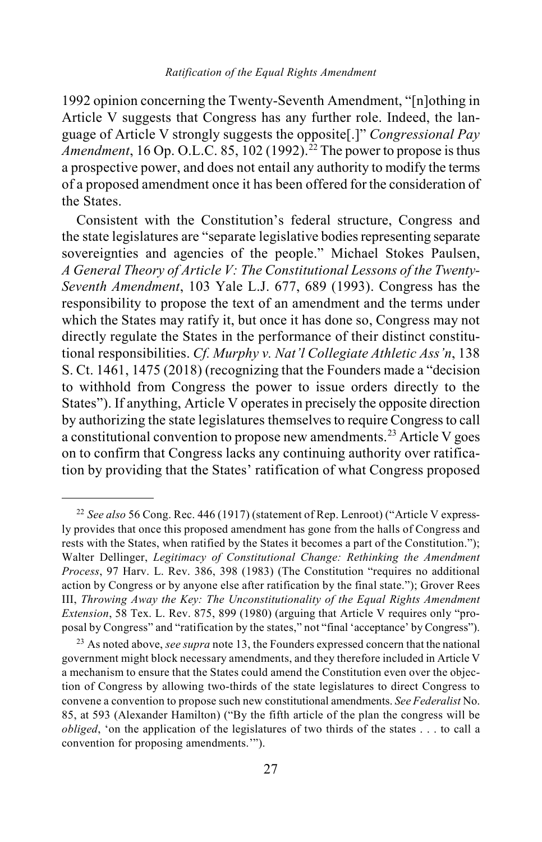1992 opinion concerning the Twenty-Seventh Amendment, "[n]othing in Article V suggests that Congress has any further role. Indeed, the language of Article V strongly suggests the opposite[.]" *Congressional Pay Amendment*, 16 Op. O.L.C. 85, 102 (1992).<sup>[22](#page-26-0)</sup> The power to propose is thus a prospective power, and does not entail any authority to modify the terms of a proposed amendment once it has been offered for the consideration of the States.

Consistent with the Constitution's federal structure, Congress and the state legislatures are "separate legislative bodies representing separate sovereignties and agencies of the people." Michael Stokes Paulsen, *A General Theory of Article V: The Constitutional Lessons of the Twenty-Seventh Amendment*, 103 Yale L.J. 677, 689 (1993). Congress has the responsibility to propose the text of an amendment and the terms under which the States may ratify it, but once it has done so, Congress may not directly regulate the States in the performance of their distinct constitutional responsibilities. *Cf. Murphy v. Nat'l Collegiate Athletic Ass'n*, 138 S. Ct. 1461, 1475 (2018) (recognizing that the Founders made a "decision to withhold from Congress the power to issue orders directly to the States"). If anything, Article V operates in precisely the opposite direction by authorizing the state legislatures themselves to require Congress to call a constitutional convention to propose new amendments.[23](#page-26-1) Article V goes on to confirm that Congress lacks any continuing authority over ratification by providing that the States' ratification of what Congress proposed

<span id="page-26-2"></span><span id="page-26-0"></span> <sup>22</sup> *See also* 56 Cong. Rec. 446 (1917) (statement of Rep. Lenroot) ("Article V expressly provides that once this proposed amendment has gone from the halls of Congress and rests with the States, when ratified by the States it becomes a part of the Constitution."); Walter Dellinger, *Legitimacy of Constitutional Change: Rethinking the Amendment Process*, 97 Harv. L. Rev. 386, 398 (1983) (The Constitution "requires no additional action by Congress or by anyone else after ratification by the final state."); Grover Rees III, *Throwing Away the Key: The Unconstitutionality of the Equal Rights Amendment Extension*, 58 Tex. L. Rev. 875, 899 (1980) (arguing that Article V requires only "proposal by Congress" and "ratification by the states," not "final 'acceptance' by Congress").

<span id="page-26-1"></span><sup>23</sup> As noted above, *see supra* not[e 13,](#page-12-1) the Founders expressed concern that the national government might block necessary amendments, and they therefore included in Article V a mechanism to ensure that the States could amend the Constitution even over the objection of Congress by allowing two-thirds of the state legislatures to direct Congress to convene a convention to propose such new constitutional amendments. *See Federalist* No. 85, at 593 (Alexander Hamilton) ("By the fifth article of the plan the congress will be *obliged*, 'on the application of the legislatures of two thirds of the states . . . to call a convention for proposing amendments.'").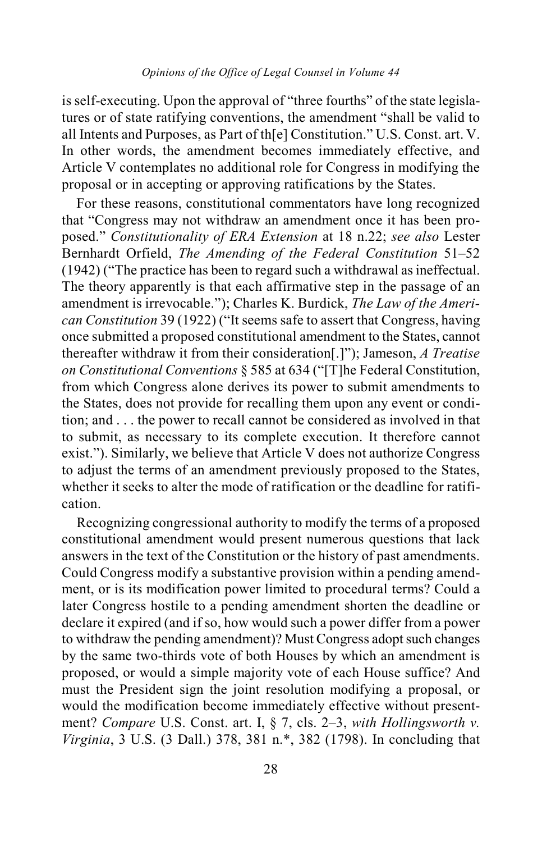is self-executing. Upon the approval of "three fourths" of the state legislatures or of state ratifying conventions, the amendment "shall be valid to all Intents and Purposes, as Part of th[e] Constitution." U.S. Const. art. V. In other words, the amendment becomes immediately effective, and Article V contemplates no additional role for Congress in modifying the proposal or in accepting or approving ratifications by the States.

For these reasons, constitutional commentators have long recognized that "Congress may not withdraw an amendment once it has been proposed." *Constitutionality of ERA Extension* at 18 n.22; *see also* Lester Bernhardt Orfield, *The Amending of the Federal Constitution* 51–52 (1942) ("The practice has been to regard such a withdrawal as ineffectual. The theory apparently is that each affirmative step in the passage of an amendment is irrevocable."); Charles K. Burdick, *The Law of the American Constitution* 39 (1922) ("It seems safe to assert that Congress, having once submitted a proposed constitutional amendment to the States, cannot thereafter withdraw it from their consideration[.]"); Jameson, *A Treatise on Constitutional Conventions* § 585 at 634 ("[T]he Federal Constitution, from which Congress alone derives its power to submit amendments to the States, does not provide for recalling them upon any event or condition; and . . . the power to recall cannot be considered as involved in that to submit, as necessary to its complete execution. It therefore cannot exist."). Similarly, we believe that Article V does not authorize Congress to adjust the terms of an amendment previously proposed to the States, whether it seeks to alter the mode of ratification or the deadline for ratification.

Recognizing congressional authority to modify the terms of a proposed constitutional amendment would present numerous questions that lack answers in the text of the Constitution or the history of past amendments. Could Congress modify a substantive provision within a pending amendment, or is its modification power limited to procedural terms? Could a later Congress hostile to a pending amendment shorten the deadline or declare it expired (and if so, how would such a power differ from a power to withdraw the pending amendment)? Must Congress adopt such changes by the same two-thirds vote of both Houses by which an amendment is proposed, or would a simple majority vote of each House suffice? And must the President sign the joint resolution modifying a proposal, or would the modification become immediately effective without presentment? *Compare* U.S. Const. art. I, § 7, cls. 2–3, *with Hollingsworth v. Virginia*, 3 U.S. (3 Dall.) 378, 381 n.\*, 382 (1798). In concluding that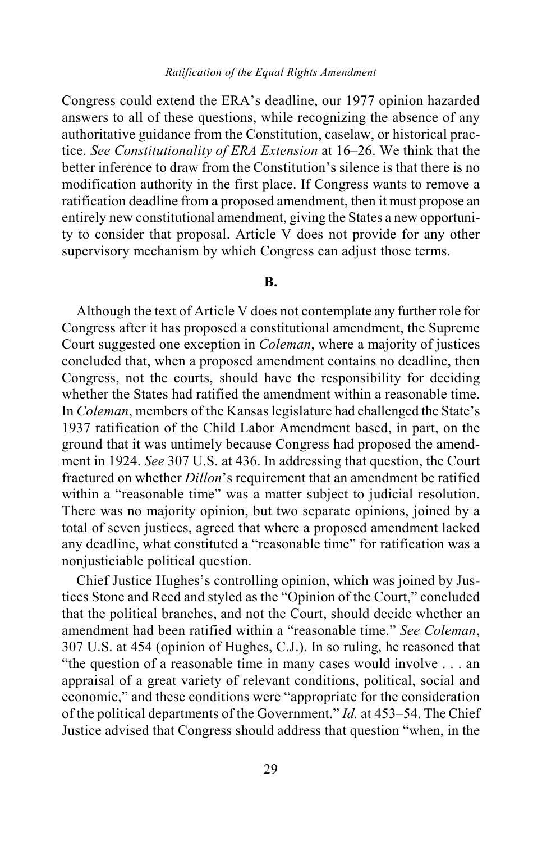Congress could extend the ERA's deadline, our 1977 opinion hazarded answers to all of these questions, while recognizing the absence of any authoritative guidance from the Constitution, caselaw, or historical practice. *See Constitutionality of ERA Extension* at 16–26. We think that the better inference to draw from the Constitution's silence is that there is no modification authority in the first place. If Congress wants to remove a ratification deadline from a proposed amendment, then it must propose an entirely new constitutional amendment, giving the States a new opportunity to consider that proposal. Article V does not provide for any other supervisory mechanism by which Congress can adjust those terms.

#### **B.**

Although the text of Article V does not contemplate any further role for Congress after it has proposed a constitutional amendment, the Supreme Court suggested one exception in *Coleman*, where a majority of justices concluded that, when a proposed amendment contains no deadline, then Congress, not the courts, should have the responsibility for deciding whether the States had ratified the amendment within a reasonable time. In *Coleman*, members of the Kansas legislature had challenged the State's 1937 ratification of the Child Labor Amendment based, in part, on the ground that it was untimely because Congress had proposed the amendment in 1924. *See* 307 U.S. at 436. In addressing that question, the Court fractured on whether *Dillon*'s requirement that an amendment be ratified within a "reasonable time" was a matter subject to judicial resolution. There was no majority opinion, but two separate opinions, joined by a total of seven justices, agreed that where a proposed amendment lacked any deadline, what constituted a "reasonable time" for ratification was a nonjusticiable political question.

Chief Justice Hughes's controlling opinion, which was joined by Justices Stone and Reed and styled as the "Opinion of the Court," concluded that the political branches, and not the Court, should decide whether an amendment had been ratified within a "reasonable time." *See Coleman*, 307 U.S. at 454 (opinion of Hughes, C.J.). In so ruling, he reasoned that "the question of a reasonable time in many cases would involve . . . an appraisal of a great variety of relevant conditions, political, social and economic," and these conditions were "appropriate for the consideration of the political departments of the Government." *Id.* at 453–54. The Chief Justice advised that Congress should address that question "when, in the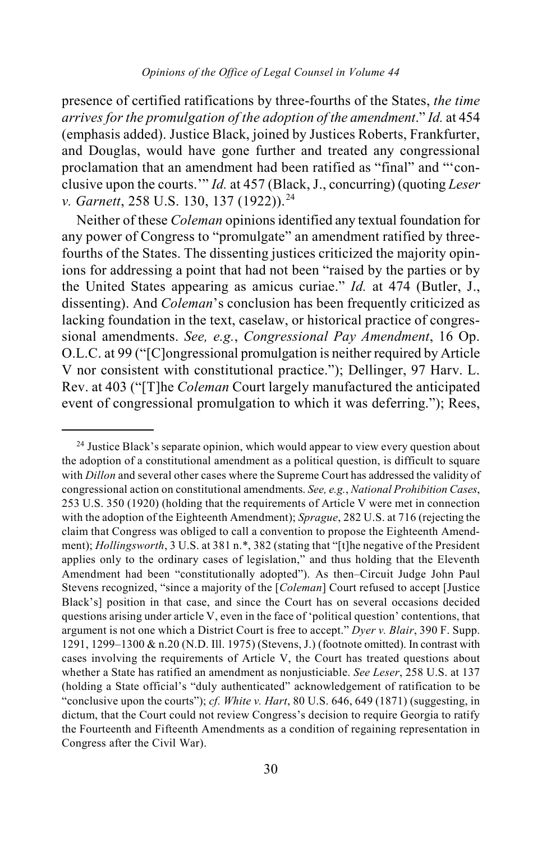presence of certified ratifications by three-fourths of the States, *the time arrives for the promulgation of the adoption of the amendment*." *Id.* at 454 (emphasis added). Justice Black, joined by Justices Roberts, Frankfurter, and Douglas, would have gone further and treated any congressional proclamation that an amendment had been ratified as "final" and "'conclusive upon the courts.'" *Id.* at 457 (Black, J., concurring) (quoting *Leser v. Garnett, 258 U.S. 130, 137 (1922)).*<sup>[24](#page-29-0)</sup>

Neither of these *Coleman* opinions identified any textual foundation for any power of Congress to "promulgate" an amendment ratified by threefourths of the States. The dissenting justices criticized the majority opinions for addressing a point that had not been "raised by the parties or by the United States appearing as amicus curiae." *Id.* at 474 (Butler, J., dissenting). And *Coleman*'s conclusion has been frequently criticized as lacking foundation in the text, caselaw, or historical practice of congressional amendments. *See, e.g.*, *Congressional Pay Amendment*, 16 Op. O.L.C. at 99 ("[C]ongressional promulgation is neither required by Article V nor consistent with constitutional practice."); Dellinger, 97 Harv. L. Rev. at 403 ("[T]he *Coleman* Court largely manufactured the anticipated event of congressional promulgation to which it was deferring."); Rees,

<span id="page-29-0"></span><sup>&</sup>lt;sup>24</sup> Justice Black's separate opinion, which would appear to view every question about the adoption of a constitutional amendment as a political question, is difficult to square with *Dillon* and several other cases where the Supreme Court has addressed the validity of congressional action on constitutional amendments. *See, e.g.*, *National Prohibition Cases*, 253 U.S. 350 (1920) (holding that the requirements of Article V were met in connection with the adoption of the Eighteenth Amendment); *Sprague*, 282 U.S. at 716 (rejecting the claim that Congress was obliged to call a convention to propose the Eighteenth Amendment); *Hollingsworth*, 3 U.S. at 381 n.\*, 382 (stating that "[t]he negative of the President applies only to the ordinary cases of legislation," and thus holding that the Eleventh Amendment had been "constitutionally adopted"). As then–Circuit Judge John Paul Stevens recognized, "since a majority of the [*Coleman*] Court refused to accept [Justice Black's] position in that case, and since the Court has on several occasions decided questions arising under article V, even in the face of 'political question' contentions, that argument is not one which a District Court is free to accept." *Dyer v. Blair*, 390 F. Supp. 1291, 1299–1300 & n.20 (N.D. Ill. 1975) (Stevens, J.) (footnote omitted). In contrast with cases involving the requirements of Article V, the Court has treated questions about whether a State has ratified an amendment as nonjusticiable. *See Leser*, 258 U.S. at 137 (holding a State official's "duly authenticated" acknowledgement of ratification to be "conclusive upon the courts"); *cf. White v. Hart*, 80 U.S. 646, 649 (1871) (suggesting, in dictum, that the Court could not review Congress's decision to require Georgia to ratify the Fourteenth and Fifteenth Amendments as a condition of regaining representation in Congress after the Civil War).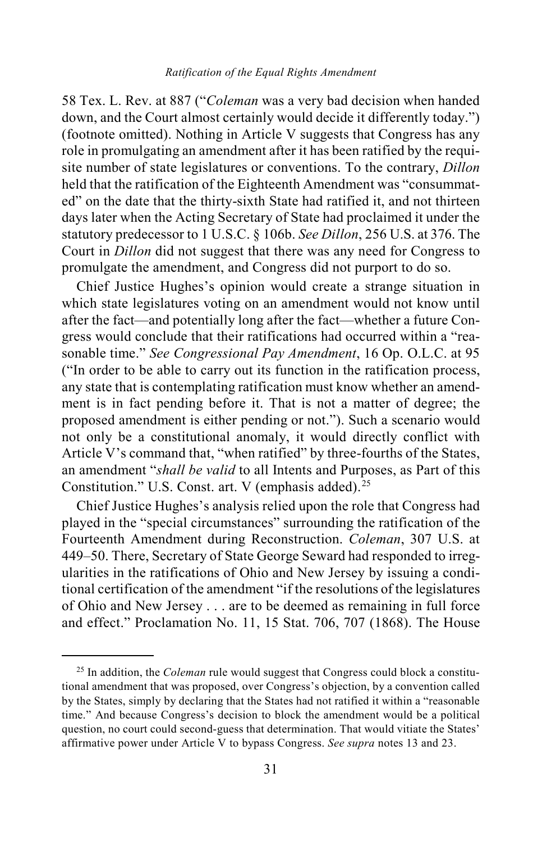#### *Ratification of the Equal Rights Amendment*

58 Tex. L. Rev. at 887 ("*Coleman* was a very bad decision when handed down, and the Court almost certainly would decide it differently today.") (footnote omitted). Nothing in Article V suggests that Congress has any role in promulgating an amendment after it has been ratified by the requisite number of state legislatures or conventions. To the contrary, *Dillon*  held that the ratification of the Eighteenth Amendment was "consummated" on the date that the thirty-sixth State had ratified it, and not thirteen days later when the Acting Secretary of State had proclaimed it under the statutory predecessor to 1 U.S.C. § 106b. *See Dillon*, 256 U.S. at 376. The Court in *Dillon* did not suggest that there was any need for Congress to promulgate the amendment, and Congress did not purport to do so.

Chief Justice Hughes's opinion would create a strange situation in which state legislatures voting on an amendment would not know until after the fact—and potentially long after the fact—whether a future Congress would conclude that their ratifications had occurred within a "reasonable time." *See Congressional Pay Amendment*, 16 Op. O.L.C. at 95 ("In order to be able to carry out its function in the ratification process, any state that is contemplating ratification must know whether an amendment is in fact pending before it. That is not a matter of degree; the proposed amendment is either pending or not."). Such a scenario would not only be a constitutional anomaly, it would directly conflict with Article V's command that, "when ratified" by three-fourths of the States, an amendment "*shall be valid* to all Intents and Purposes, as Part of this Constitution." U.S. Const. art. V (emphasis added).<sup>[25](#page-30-0)</sup>

Chief Justice Hughes's analysis relied upon the role that Congress had played in the "special circumstances" surrounding the ratification of the Fourteenth Amendment during Reconstruction. *Coleman*, 307 U.S. at 449–50. There, Secretary of State George Seward had responded to irregularities in the ratifications of Ohio and New Jersey by issuing a conditional certification of the amendment "if the resolutions of the legislatures of Ohio and New Jersey . . . are to be deemed as remaining in full force and effect." Proclamation No. 11, 15 Stat. 706, 707 (1868). The House

<span id="page-30-0"></span> <sup>25</sup> In addition, the *Coleman* rule would suggest that Congress could block a constitutional amendment that was proposed, over Congress's objection, by a convention called by the States, simply by declaring that the States had not ratified it within a "reasonable time." And because Congress's decision to block the amendment would be a political question, no court could second-guess that determination. That would vitiate the States' affirmative power under Article V to bypass Congress. *See supra* notes [13](#page-12-1) an[d 23.](#page-26-2)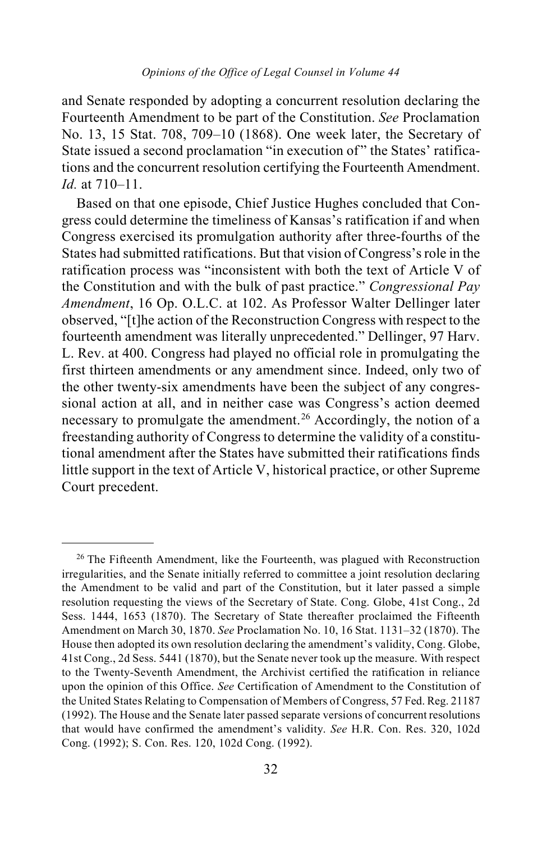and Senate responded by adopting a concurrent resolution declaring the Fourteenth Amendment to be part of the Constitution. *See* Proclamation No. 13, 15 Stat. 708, 709–10 (1868). One week later, the Secretary of State issued a second proclamation "in execution of " the States' ratifications and the concurrent resolution certifying the Fourteenth Amendment. *Id.* at 710–11.

Based on that one episode, Chief Justice Hughes concluded that Congress could determine the timeliness of Kansas's ratification if and when Congress exercised its promulgation authority after three-fourths of the States had submitted ratifications. But that vision of Congress's role in the ratification process was "inconsistent with both the text of Article V of the Constitution and with the bulk of past practice." *Congressional Pay Amendment*, 16 Op. O.L.C. at 102. As Professor Walter Dellinger later observed, "[t]he action of the Reconstruction Congress with respect to the fourteenth amendment was literally unprecedented." Dellinger, 97 Harv. L. Rev. at 400. Congress had played no official role in promulgating the first thirteen amendments or any amendment since. Indeed, only two of the other twenty-six amendments have been the subject of any congressional action at all, and in neither case was Congress's action deemed necessary to promulgate the amendment.<sup>[26](#page-31-0)</sup> Accordingly, the notion of a freestanding authority of Congress to determine the validity of a constitutional amendment after the States have submitted their ratifications finds little support in the text of Article V, historical practice, or other Supreme Court precedent.

<span id="page-31-0"></span><sup>&</sup>lt;sup>26</sup> The Fifteenth Amendment, like the Fourteenth, was plagued with Reconstruction irregularities, and the Senate initially referred to committee a joint resolution declaring the Amendment to be valid and part of the Constitution, but it later passed a simple resolution requesting the views of the Secretary of State. Cong. Globe, 41st Cong., 2d Sess. 1444, 1653 (1870). The Secretary of State thereafter proclaimed the Fifteenth Amendment on March 30, 1870. *See* Proclamation No. 10, 16 Stat. 1131–32 (1870). The House then adopted its own resolution declaring the amendment's validity, Cong. Globe, 41st Cong., 2d Sess. 5441 (1870), but the Senate never took up the measure. With respect to the Twenty-Seventh Amendment, the Archivist certified the ratification in reliance upon the opinion of this Office. *See* Certification of Amendment to the Constitution of the United States Relating to Compensation of Members of Congress, 57 Fed. Reg. 21187 (1992). The House and the Senate later passed separate versions of concurrent resolutions that would have confirmed the amendment's validity. *See* H.R. Con. Res. 320, 102d Cong. (1992); S. Con. Res. 120, 102d Cong. (1992).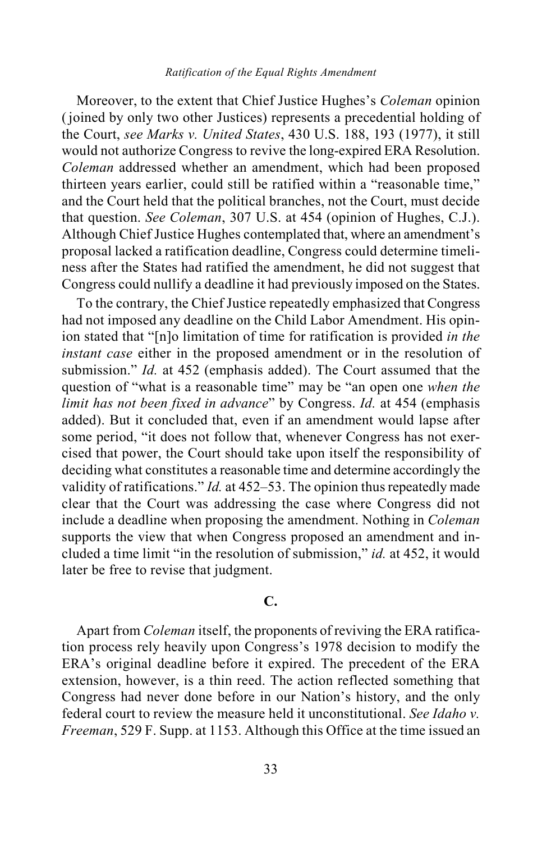#### *Ratification of the Equal Rights Amendment*

Moreover, to the extent that Chief Justice Hughes's *Coleman* opinion (joined by only two other Justices) represents a precedential holding of the Court, *see Marks v. United States*, 430 U.S. 188, 193 (1977), it still would not authorize Congress to revive the long-expired ERA Resolution. *Coleman* addressed whether an amendment, which had been proposed thirteen years earlier, could still be ratified within a "reasonable time," and the Court held that the political branches, not the Court, must decide that question. *See Coleman*, 307 U.S. at 454 (opinion of Hughes, C.J.). Although Chief Justice Hughes contemplated that, where an amendment's proposal lacked a ratification deadline, Congress could determine timeliness after the States had ratified the amendment, he did not suggest that Congress could nullify a deadline it had previously imposed on the States.

To the contrary, the Chief Justice repeatedly emphasized that Congress had not imposed any deadline on the Child Labor Amendment. His opinion stated that "[n]o limitation of time for ratification is provided *in the instant case* either in the proposed amendment or in the resolution of submission." *Id.* at 452 (emphasis added). The Court assumed that the question of "what is a reasonable time" may be "an open one *when the limit has not been fixed in advance*" by Congress. *Id.* at 454 (emphasis added). But it concluded that, even if an amendment would lapse after some period, "it does not follow that, whenever Congress has not exercised that power, the Court should take upon itself the responsibility of deciding what constitutes a reasonable time and determine accordingly the validity of ratifications." *Id.* at 452–53. The opinion thus repeatedly made clear that the Court was addressing the case where Congress did not include a deadline when proposing the amendment. Nothing in *Coleman*  supports the view that when Congress proposed an amendment and included a time limit "in the resolution of submission," *id.* at 452, it would later be free to revise that judgment.

## **C.**

Apart from *Coleman* itself, the proponents of reviving the ERA ratification process rely heavily upon Congress's 1978 decision to modify the ERA's original deadline before it expired. The precedent of the ERA extension, however, is a thin reed. The action reflected something that Congress had never done before in our Nation's history, and the only federal court to review the measure held it unconstitutional. *See Idaho v. Freeman*, 529 F. Supp. at 1153. Although this Office at the time issued an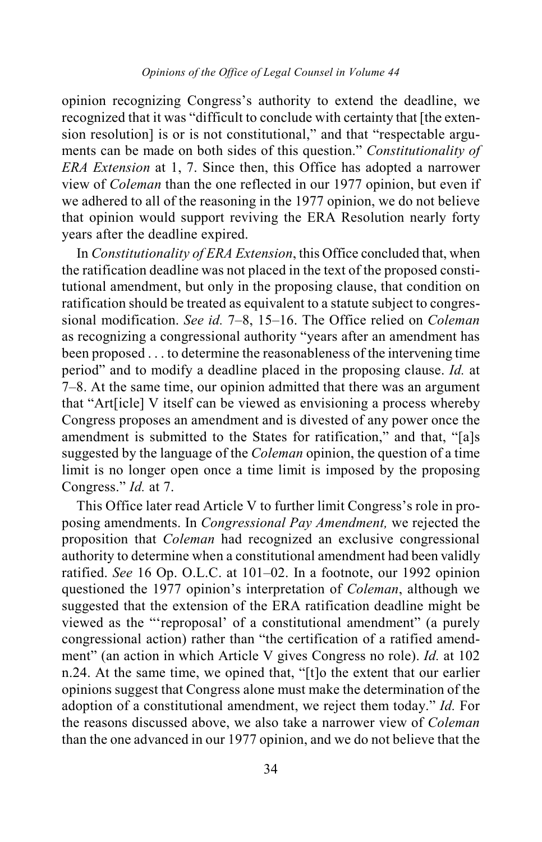opinion recognizing Congress's authority to extend the deadline, we recognized that it was "difficult to conclude with certainty that [the extension resolution] is or is not constitutional," and that "respectable arguments can be made on both sides of this question." *Constitutionality of ERA Extension* at 1, 7. Since then, this Office has adopted a narrower view of *Coleman* than the one reflected in our 1977 opinion, but even if we adhered to all of the reasoning in the 1977 opinion, we do not believe that opinion would support reviving the ERA Resolution nearly forty years after the deadline expired.

In *Constitutionality of ERA Extension*, this Office concluded that, when the ratification deadline was not placed in the text of the proposed constitutional amendment, but only in the proposing clause, that condition on ratification should be treated as equivalent to a statute subject to congressional modification. *See id.* 7–8, 15–16. The Office relied on *Coleman* as recognizing a congressional authority "years after an amendment has been proposed . . . to determine the reasonableness of the intervening time period" and to modify a deadline placed in the proposing clause. *Id.* at 7–8. At the same time, our opinion admitted that there was an argument that "Art[icle] V itself can be viewed as envisioning a process whereby Congress proposes an amendment and is divested of any power once the amendment is submitted to the States for ratification," and that, "[a]s suggested by the language of the *Coleman* opinion, the question of a time limit is no longer open once a time limit is imposed by the proposing Congress." *Id.* at 7.

This Office later read Article V to further limit Congress's role in proposing amendments. In *Congressional Pay Amendment,* we rejected the proposition that *Coleman* had recognized an exclusive congressional authority to determine when a constitutional amendment had been validly ratified. *See* 16 Op. O.L.C. at 101–02. In a footnote, our 1992 opinion questioned the 1977 opinion's interpretation of *Coleman*, although we suggested that the extension of the ERA ratification deadline might be viewed as the "'reproposal' of a constitutional amendment" (a purely congressional action) rather than "the certification of a ratified amendment" (an action in which Article V gives Congress no role). *Id.* at 102 n.24. At the same time, we opined that, "[t]o the extent that our earlier opinions suggest that Congress alone must make the determination of the adoption of a constitutional amendment, we reject them today." *Id.* For the reasons discussed above, we also take a narrower view of *Coleman* than the one advanced in our 1977 opinion, and we do not believe that the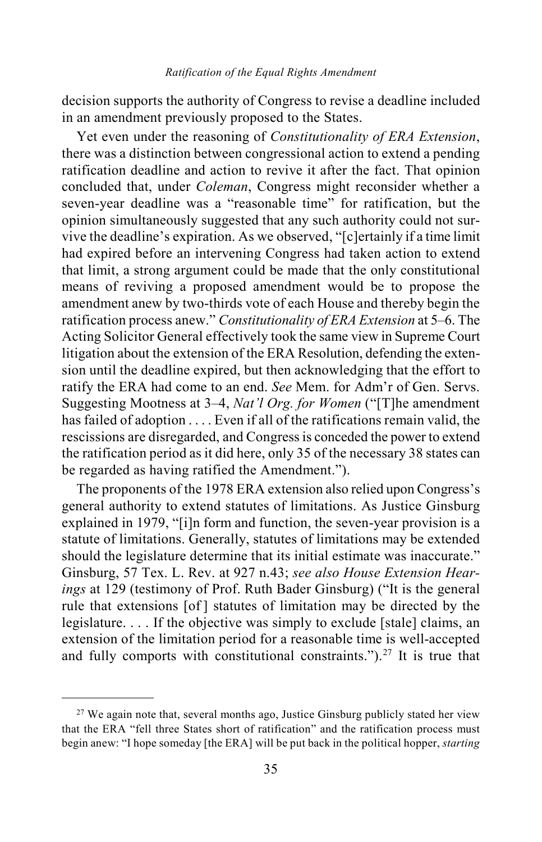decision supports the authority of Congress to revise a deadline included in an amendment previously proposed to the States.

Yet even under the reasoning of *Constitutionality of ERA Extension*, there was a distinction between congressional action to extend a pending ratification deadline and action to revive it after the fact. That opinion concluded that, under *Coleman*, Congress might reconsider whether a seven-year deadline was a "reasonable time" for ratification, but the opinion simultaneously suggested that any such authority could not survive the deadline's expiration. As we observed, "[c]ertainly if a time limit had expired before an intervening Congress had taken action to extend that limit, a strong argument could be made that the only constitutional means of reviving a proposed amendment would be to propose the amendment anew by two-thirds vote of each House and thereby begin the ratification process anew." *Constitutionality of ERA Extension* at 5–6. The Acting Solicitor General effectively took the same view in Supreme Court litigation about the extension of the ERA Resolution, defending the extension until the deadline expired, but then acknowledging that the effort to ratify the ERA had come to an end. *See* Mem. for Adm'r of Gen. Servs. Suggesting Mootness at 3–4, *Nat'l Org. for Women* ("[T]he amendment has failed of adoption . . . . Even if all of the ratifications remain valid, the rescissions are disregarded, and Congress is conceded the power to extend the ratification period as it did here, only 35 of the necessary 38 states can be regarded as having ratified the Amendment.").

The proponents of the 1978 ERA extension also relied upon Congress's general authority to extend statutes of limitations. As Justice Ginsburg explained in 1979, "[i]n form and function, the seven-year provision is a statute of limitations. Generally, statutes of limitations may be extended should the legislature determine that its initial estimate was inaccurate." Ginsburg, 57 Tex. L. Rev. at 927 n.43; *see also House Extension Hearings* at 129 (testimony of Prof. Ruth Bader Ginsburg) ("It is the general rule that extensions [of ] statutes of limitation may be directed by the legislature. . . . If the objective was simply to exclude [stale] claims, an extension of the limitation period for a reasonable time is well-accepted and fully comports with constitutional constraints.").<sup>[27](#page-34-0)</sup> It is true that

<span id="page-34-0"></span> $27$  We again note that, several months ago, Justice Ginsburg publicly stated her view that the ERA "fell three States short of ratification" and the ratification process must begin anew: "I hope someday [the ERA] will be put back in the political hopper, *starting*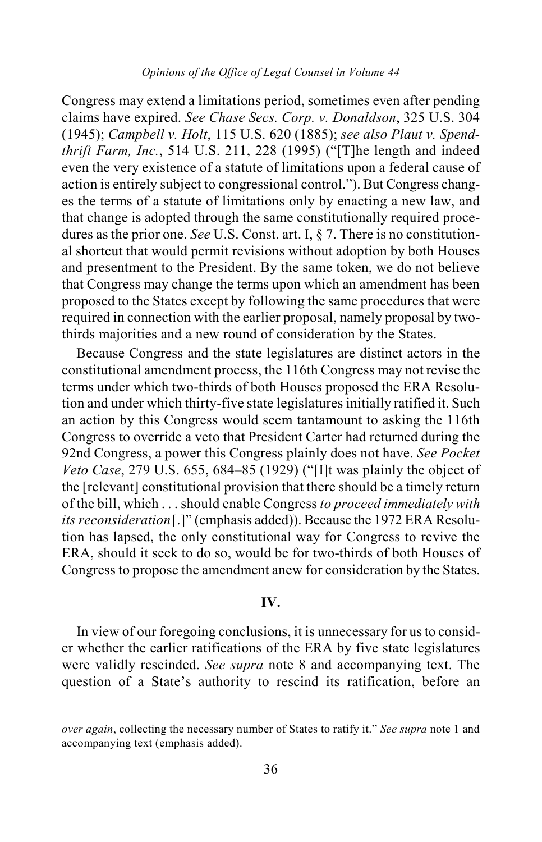### *Opinions of the Office of Legal Counsel in Volume 44*

Congress may extend a limitations period, sometimes even after pending claims have expired. *See Chase Secs. Corp. v. Donaldson*, 325 U.S. 304 (1945); *Campbell v. Holt*, 115 U.S. 620 (1885); *see also Plaut v. Spendthrift Farm, Inc.*, 514 U.S. 211, 228 (1995) ("[T]he length and indeed even the very existence of a statute of limitations upon a federal cause of action is entirely subject to congressional control."). But Congress changes the terms of a statute of limitations only by enacting a new law, and that change is adopted through the same constitutionally required procedures as the prior one. *See* U.S. Const. art. I, § 7. There is no constitutional shortcut that would permit revisions without adoption by both Houses and presentment to the President. By the same token, we do not believe that Congress may change the terms upon which an amendment has been proposed to the States except by following the same procedures that were required in connection with the earlier proposal, namely proposal by twothirds majorities and a new round of consideration by the States.

Because Congress and the state legislatures are distinct actors in the constitutional amendment process, the 116th Congress may not revise the terms under which two-thirds of both Houses proposed the ERA Resolution and under which thirty-five state legislatures initially ratified it. Such an action by this Congress would seem tantamount to asking the 116th Congress to override a veto that President Carter had returned during the 92nd Congress, a power this Congress plainly does not have. *See Pocket Veto Case*, 279 U.S. 655, 684–85 (1929) ("[I]t was plainly the object of the [relevant] constitutional provision that there should be a timely return of the bill, which . . . should enable Congress *to proceed immediately with its reconsideration*[.]" (emphasis added)). Because the 1972 ERA Resolution has lapsed, the only constitutional way for Congress to revive the ERA, should it seek to do so, would be for two-thirds of both Houses of Congress to propose the amendment anew for consideration by the States.

### **IV.**

In view of our foregoing conclusions, it is unnecessary for us to consider whether the earlier ratifications of the ERA by five state legislatures were validly rescinded. *See supra* note [8](#page-6-2) and accompanying text. The question of a State's authority to rescind its ratification, before an

 $\overline{a}$ 

*over again*, collecting the necessary number of States to ratify it." *See supra* note [1](#page-1-2) and accompanying text (emphasis added).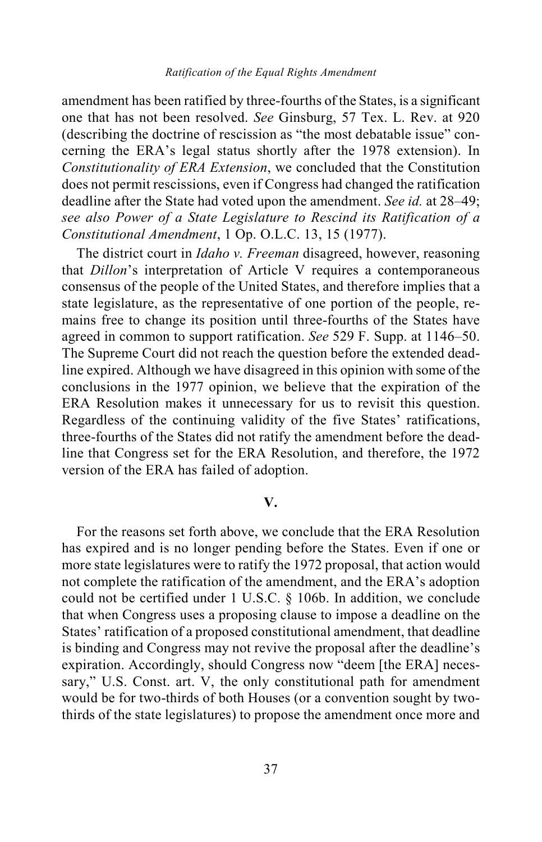#### *Ratification of the Equal Rights Amendment*

amendment has been ratified by three-fourths of the States, is a significant one that has not been resolved. *See* Ginsburg, 57 Tex. L. Rev. at 920 (describing the doctrine of rescission as "the most debatable issue" concerning the ERA's legal status shortly after the 1978 extension). In *Constitutionality of ERA Extension*, we concluded that the Constitution does not permit rescissions, even if Congress had changed the ratification deadline after the State had voted upon the amendment. *See id.* at 28–49; *see also Power of a State Legislature to Rescind its Ratification of a Constitutional Amendment*, 1 Op. O.L.C. 13, 15 (1977).

The district court in *Idaho v. Freeman* disagreed, however, reasoning that *Dillon*'s interpretation of Article V requires a contemporaneous consensus of the people of the United States, and therefore implies that a state legislature, as the representative of one portion of the people, remains free to change its position until three-fourths of the States have agreed in common to support ratification. *See* 529 F. Supp. at 1146–50. The Supreme Court did not reach the question before the extended deadline expired. Although we have disagreed in this opinion with some of the conclusions in the 1977 opinion, we believe that the expiration of the ERA Resolution makes it unnecessary for us to revisit this question. Regardless of the continuing validity of the five States' ratifications, three-fourths of the States did not ratify the amendment before the deadline that Congress set for the ERA Resolution, and therefore, the 1972 version of the ERA has failed of adoption.

#### **V.**

For the reasons set forth above, we conclude that the ERA Resolution has expired and is no longer pending before the States. Even if one or more state legislatures were to ratify the 1972 proposal, that action would not complete the ratification of the amendment, and the ERA's adoption could not be certified under 1 U.S.C. § 106b. In addition, we conclude that when Congress uses a proposing clause to impose a deadline on the States' ratification of a proposed constitutional amendment, that deadline is binding and Congress may not revive the proposal after the deadline's expiration. Accordingly, should Congress now "deem [the ERA] necessary," U.S. Const. art. V, the only constitutional path for amendment would be for two-thirds of both Houses (or a convention sought by twothirds of the state legislatures) to propose the amendment once more and